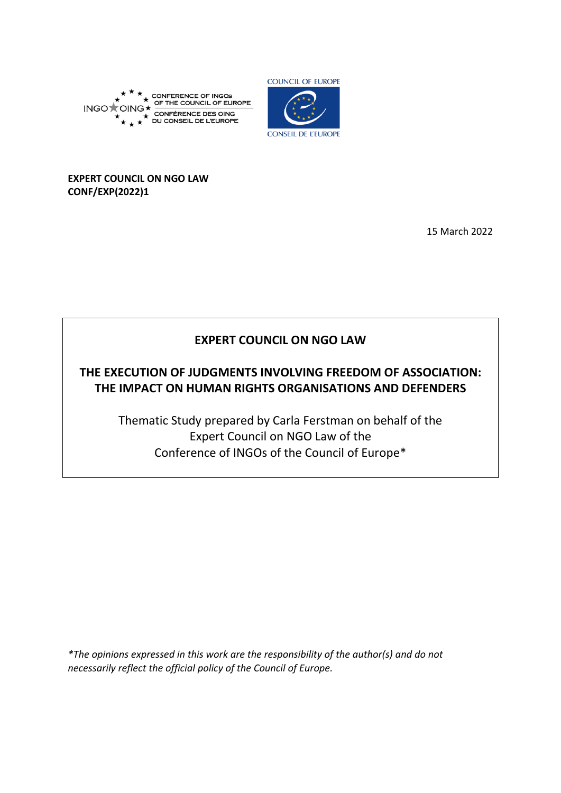



**COUNCIL OF EUROPE** 

**CONSEIL DE L'EUROPE** 

## **EXPERT COUNCIL ON NGO LAW CONF/EXP(2022)1**

15 March 2022

# **EXPERT COUNCIL ON NGO LAW**

# **THE EXECUTION OF JUDGMENTS INVOLVING FREEDOM OF ASSOCIATION: THE IMPACT ON HUMAN RIGHTS ORGANISATIONS AND DEFENDERS**

Thematic Study prepared by Carla Ferstman on behalf of the Expert Council on NGO Law of the Conference of INGOs of the Council of Europe\*

*\*The opinions expressed in this work are the responsibility of the author(s) and do not necessarily reflect the official policy of the Council of Europe.*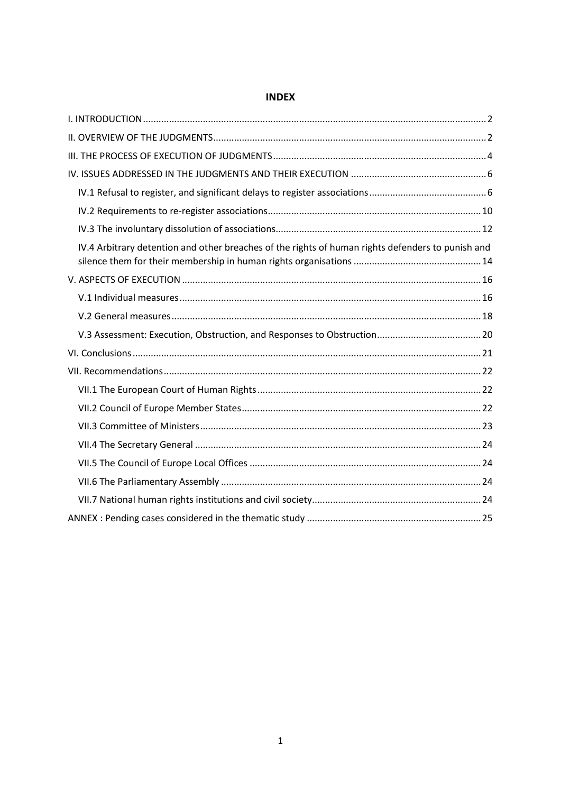| IV.4 Arbitrary detention and other breaches of the rights of human rights defenders to punish and |
|---------------------------------------------------------------------------------------------------|
|                                                                                                   |
|                                                                                                   |
|                                                                                                   |
|                                                                                                   |
|                                                                                                   |
|                                                                                                   |
|                                                                                                   |
|                                                                                                   |
|                                                                                                   |
|                                                                                                   |
|                                                                                                   |
|                                                                                                   |
|                                                                                                   |
|                                                                                                   |

## **INDEX**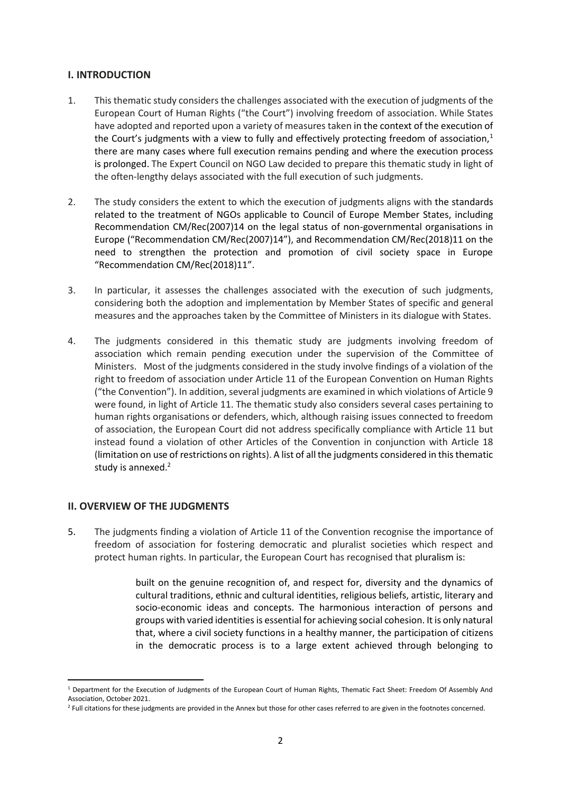#### <span id="page-2-0"></span>**I. INTRODUCTION**

- 1. This thematic study considers the challenges associated with the execution of judgments of the European Court of Human Rights ("the Court") involving freedom of association. While States have adopted and reported upon a variety of measures taken in the context of the execution of the Court's judgments with a view to fully and effectively protecting freedom of association,<sup>1</sup> there are many cases where full execution remains pending and where the execution process is prolonged. The Expert Council on NGO Law decided to prepare this thematic study in light of the often-lengthy delays associated with the full execution of such judgments.
- 2. The study considers the extent to which the execution of judgments aligns with the standards related to the treatment of NGOs applicable to Council of Europe Member States, including Recommendation CM/Rec(2007)14 on the legal status of non-governmental organisations in Europe ("Recommendation CM/Rec(2007)14"), and Recommendation CM/Rec(2018)11 on the need to strengthen the protection and promotion of civil society space in Europe "Recommendation CM/Rec(2018)11".
- 3. In particular, it assesses the challenges associated with the execution of such judgments, considering both the adoption and implementation by Member States of specific and general measures and the approaches taken by the Committee of Ministers in its dialogue with States.
- 4. The judgments considered in this thematic study are judgments involving freedom of association which remain pending execution under the supervision of the Committee of Ministers. Most of the judgments considered in the study involve findings of a violation of the right to freedom of association under Article 11 of the European Convention on Human Rights ("the Convention"). In addition, several judgments are examined in which violations of Article 9 were found, in light of Article 11. The thematic study also considers several cases pertaining to human rights organisations or defenders, which, although raising issues connected to freedom of association, the European Court did not address specifically compliance with Article 11 but instead found a violation of other Articles of the Convention in conjunction with Article 18 (limitation on use of restrictions on rights). A list of all the judgments considered in this thematic study is annexed.<sup>2</sup>

## <span id="page-2-1"></span>**II. OVERVIEW OF THE JUDGMENTS**

 $\overline{\phantom{a}}$ 

5. The judgments finding a violation of Article 11 of the Convention recognise the importance of freedom of association for fostering democratic and pluralist societies which respect and protect human rights. In particular, the European Court has recognised that pluralism is:

> built on the genuine recognition of, and respect for, diversity and the dynamics of cultural traditions, ethnic and cultural identities, religious beliefs, artistic, literary and socio-economic ideas and concepts. The harmonious interaction of persons and groups with varied identities is essential for achieving social cohesion. It is only natural that, where a civil society functions in a healthy manner, the participation of citizens in the democratic process is to a large extent achieved through belonging to

<sup>1</sup> Department for the Execution of Judgments of the European Court of Human Rights, Thematic Fact Sheet: Freedom Of Assembly And Association, October 2021.

<sup>&</sup>lt;sup>2</sup> Full citations for these judgments are provided in the Annex but those for other cases referred to are given in the footnotes concerned.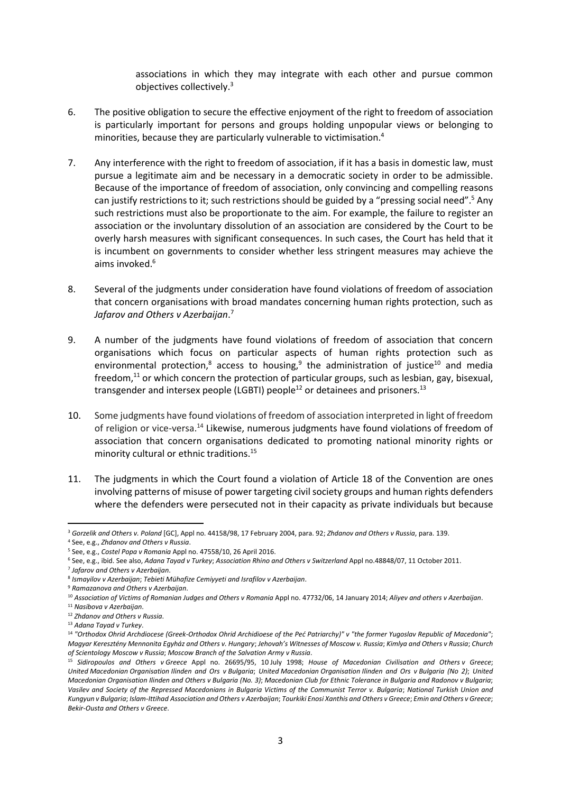associations in which they may integrate with each other and pursue common objectives collectively. 3

- 6. The positive obligation to secure the effective enjoyment of the right to freedom of association is particularly important for persons and groups holding unpopular views or belonging to minorities, because they are particularly vulnerable to victimisation.<sup>4</sup>
- 7. Any interference with the right to freedom of association, if it has a basis in domestic law, must pursue a legitimate aim and be necessary in a democratic society in order to be admissible. Because of the importance of freedom of association, only convincing and compelling reasons can justify restrictions to it; such restrictions should be guided by a "pressing social need".<sup>5</sup> Any such restrictions must also be proportionate to the aim. For example, the failure to register an association or the involuntary dissolution of an association are considered by the Court to be overly harsh measures with significant consequences. In such cases, the Court has held that it is incumbent on governments to consider whether less stringent measures may achieve the aims invoked. 6
- 8. Several of the judgments under consideration have found violations of freedom of association that concern organisations with broad mandates concerning human rights protection, such as *Jafarov and Others v Azerbaijan*. 7
- 9. A number of the judgments have found violations of freedom of association that concern organisations which focus on particular aspects of human rights protection such as environmental protection,<sup>8</sup> access to housing,<sup>9</sup> the administration of justice<sup>10</sup> and media freedom, $11$  or which concern the protection of particular groups, such as lesbian, gay, bisexual, transgender and intersex people (LGBTI) people<sup>12</sup> or detainees and prisoners.<sup>13</sup>
- 10. Some judgments have found violations of freedom of association interpreted in light of freedom of religion or vice-versa.<sup>14</sup> Likewise, numerous judgments have found violations of freedom of association that concern organisations dedicated to promoting national minority rights or minority cultural or ethnic traditions.<sup>15</sup>
- 11. The judgments in which the Court found a violation of Article 18 of the Convention are ones involving patterns of misuse of power targeting civil society groups and human rights defenders where the defenders were persecuted not in their capacity as private individuals but because

7 *Jafarov and Others v Azerbaijan*.

<sup>1</sup> <sup>3</sup> *Gorzelik and Others v. Poland* [GC], Appl no. 44158/98, 17 February 2004, para. 92; *Zhdanov and Others v Russia*, para. 139.

<sup>4</sup> See, e.g., *Zhdanov and Others v Russia*.

<sup>5</sup> See, e.g., *Costel Popa v Romania* Appl no. 47558/10, 26 April 2016.

<sup>6</sup> See, e.g., ibid. See also, *Adana Tayad v Turkey*; *Association Rhino and Others v Switzerland* Appl no.48848/07, 11 October 2011.

<sup>8</sup> *Ismayilov v Azerbaijan*; *Tebieti Mühafize Cemiyyeti and Israfilov v Azerbaijan*.

<sup>9</sup> *Ramazanova and Others v Azerbaijan*.

<sup>10</sup> *Association of Victims of Romanian Judges and Others v Romania* Appl no. 47732/06, 14 January 2014; *Aliyev and others v Azerbaijan*.

<sup>11</sup> *Nasibova v Azerbaijan*.

<sup>12</sup> *Zhdanov and Others v Russia*.

<sup>13</sup> *Adana Tayad v Turkey*.

<sup>14</sup> *"Orthodox Ohrid Archdiocese (Greek-Orthodox Ohrid Archidioese of the Peć Patriarchy)" v "the former Yugoslav Republic of Macedonia"*; *Magyar Keresztény Mennonita Egyház and Others v. Hungary*; *Jehovah's Witnesses of Moscow v. Russia*; *Kimlya and Others v Russia*; *Church of Scientology Moscow v Russia*; *Moscow Branch of the Salvation Army v Russia*.

<sup>15</sup> *Sidiropoulos and Others v Greece* Appl no. 26695/95, 10 July 1998; *House of Macedonian Civilisation and Others v Greece*; *United Macedonian Organisation Ilinden and Ors v Bulgaria*; *United Macedonian Organisation Ilinden and Ors v Bulgaria (No 2)*; *United Macedonian Organisation Ilinden and Others v Bulgaria (No. 3)*; *Macedonian Club for Ethnic Tolerance in Bulgaria and Radonov v Bulgaria*; Vasilev and Society of the Repressed Macedonians in Bulgaria Victims of the Communist Terror v. Bulgaria; National Turkish Union and *Kungyun v Bulgaria*; *Islam-Ittihad Association and Others v Azerbaijan*; *Tourkiki Enosi Xanthis and Others v Greece*; *Emin and Others v Greece*; *Bekir-Ousta and Others v Greece*.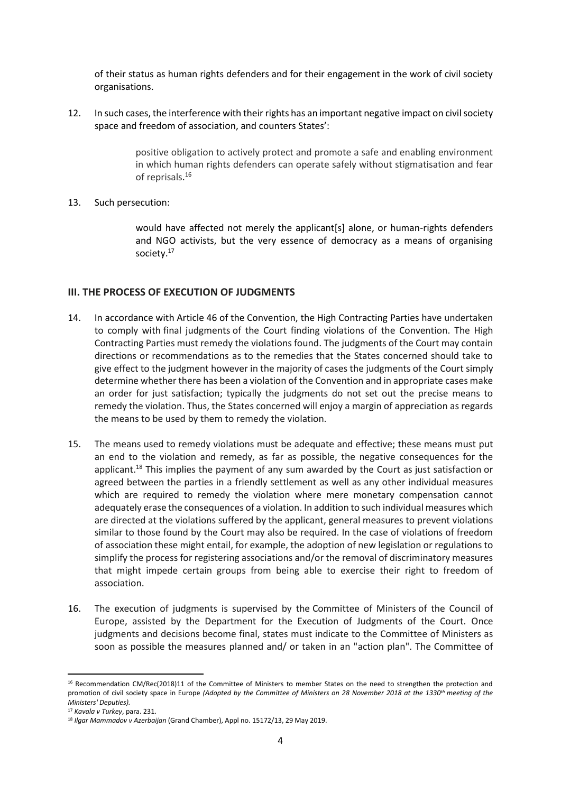of their status as human rights defenders and for their engagement in the work of civil society organisations.

12. In such cases, the interference with their rights has an important negative impact on civil society space and freedom of association, and counters States':

> positive obligation to actively protect and promote a safe and enabling environment in which human rights defenders can operate safely without stigmatisation and fear of reprisals. 16

#### 13. Such persecution:

would have affected not merely the applicant[s] alone, or human-rights defenders and NGO activists, but the very essence of democracy as a means of organising society.<sup>17</sup>

## <span id="page-4-0"></span>**III. THE PROCESS OF EXECUTION OF JUDGMENTS**

- 14. In accordance with Article 46 of the Convention, the High Contracting Parties have undertaken to comply with final judgments of the Court finding violations of the Convention. The High Contracting Parties must remedy the violations found. The judgments of the Court may contain directions or recommendations as to the remedies that the States concerned should take to give effect to the judgment however in the majority of cases the judgments of the Court simply determine whether there has been a violation of the Convention and in appropriate cases make an order for just satisfaction; typically the judgments do not set out the precise means to remedy the violation. Thus, the States concerned will enjoy a margin of appreciation as regards the means to be used by them to remedy the violation.
- 15. The means used to remedy violations must be adequate and effective; these means must put an end to the violation and remedy, as far as possible, the negative consequences for the applicant.<sup>18</sup> This implies the payment of any sum awarded by the Court as just satisfaction or agreed between the parties in a friendly settlement as well as any other individual measures which are required to remedy the violation where mere monetary compensation cannot adequately erase the consequences of a violation. In addition to such individual measures which are directed at the violations suffered by the applicant, general measures to prevent violations similar to those found by the Court may also be required. In the case of violations of freedom of association these might entail, for example, the adoption of new legislation or regulations to simplify the process for registering associations and/or the removal of discriminatory measures that might impede certain groups from being able to exercise their right to freedom of association.
- 16. The execution of judgments is supervised by the Committee of Ministers of the Council of Europe, assisted by the Department for the Execution of Judgments of the Court. Once judgments and decisions become final, states must indicate to the Committee of Ministers as soon as possible the measures planned and/ or taken in an "action plan". The Committee of

**<sup>.</sup>** <sup>16</sup> Recommendation CM/Rec(2018)11 of the Committee of Ministers to member States on the need to strengthen the protection and promotion of civil society space in Europe *(Adopted by the Committee of Ministers on 28 November 2018 at the 1330th meeting of the Ministers' Deputies).*

<sup>17</sup> *Kavala v Turkey*, para. 231.

<sup>18</sup> *Ilgar Mammadov v Azerbaijan* (Grand Chamber), Appl no. 15172/13, 29 May 2019.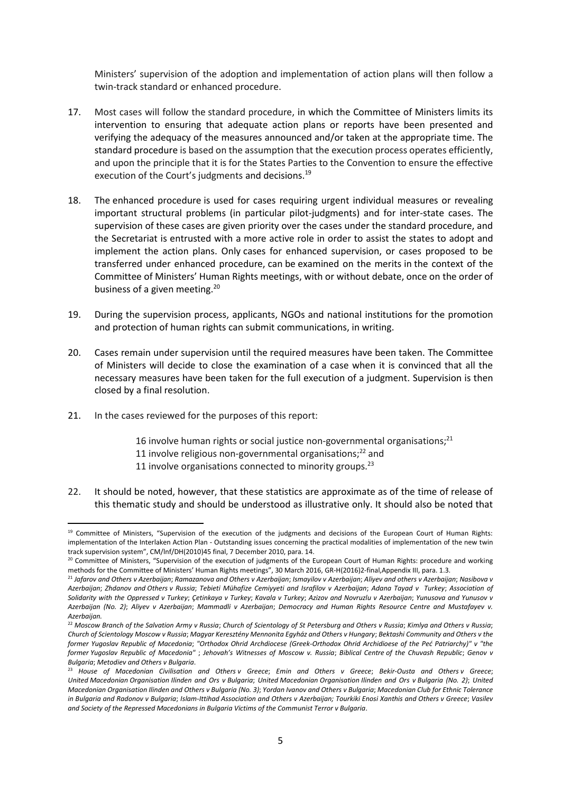Ministers' supervision of the adoption and implementation of action plans will then follow a twin-track standard or enhanced procedure.

- 17. Most cases will follow the standard procedure, in which the Committee of Ministers limits its intervention to ensuring that adequate action plans or reports have been presented and verifying the adequacy of the measures announced and/or taken at the appropriate time. The standard procedure is based on the assumption that the execution process operates efficiently, and upon the principle that it is for the States Parties to the Convention to ensure the effective execution of the Court's judgments and decisions.<sup>19</sup>
- 18. The enhanced procedure is used for cases requiring urgent individual measures or revealing important structural problems (in particular pilot-judgments) and for inter-state cases. The supervision of these cases are given priority over the cases under the standard procedure, and the Secretariat is entrusted with a more active role in order to assist the states to adopt and implement the action plans. Only cases for enhanced supervision, or cases proposed to be transferred under enhanced procedure, can be examined on the merits in the context of the Committee of Ministers' Human Rights meetings, with or without debate, once on the order of business of a given meeting.<sup>20</sup>
- 19. During the supervision process, applicants, NGOs and national institutions for the promotion and protection of human rights can submit communications, in writing.
- 20. Cases remain under supervision until the required measures have been taken. The Committee of Ministers will decide to close the examination of a case when it is convinced that all the necessary measures have been taken for the full execution of a judgment. Supervision is then closed by a final resolution.
- 21. In the cases reviewed for the purposes of this report:

- 16 involve human rights or social justice non-governmental organisations;<sup>21</sup>
- 11 involve religious non-governmental organisations; <sup>22</sup> and
- 11 involve organisations connected to minority groups. $23$
- 22. It should be noted, however, that these statistics are approximate as of the time of release of this thematic study and should be understood as illustrative only. It should also be noted that

<sup>19</sup> Committee of Ministers, "Supervision of the execution of the judgments and decisions of the European Court of Human Rights: implementation of the Interlaken Action Plan - Outstanding issues concerning the practical modalities of implementation of the new twin track supervision system", CM/lnf/DH(2010)45 final, 7 December 2010, para. 14.

<sup>&</sup>lt;sup>20</sup> Committee of Ministers, "Supervision of the execution of judgments of the European Court of Human Rights: procedure and working methods for the Committee of Ministers' Human Rights meetings", 30 March 2016, GR-H(2016)2-final,Appendix III, para. 1.3.

<sup>21</sup> *Jafarov and Others v Azerbaijan*; *Ramazanova and Others v Azerbaijan*; *Ismayilov v Azerbaijan*; *Aliyev and others v Azerbaijan*; *Nasibova v Azerbaijan*; *Zhdanov and Others v Russia*; *Tebieti Mühafize Cemiyyeti and Israfilov v Azerbaijan*; *Adana Tayad v Turkey*; *Association of Solidarity with the Oppressed v Turkey*; *Çetinkaya v Turkey*; *Kavala v Turkey*; *Azizov and Novruzlu v Azerbaijan*; *Yunusova and Yunusov v Azerbaijan (No. 2)*; *Aliyev v Azerbaijan*; *Mammadli v Azerbaijan*; *Democracy and Human Rights Resource Centre and Mustafayev v. Azerbaijan.*

<sup>22</sup> *Moscow Branch of the Salvation Army v Russia*; *Church of Scientology of St Petersburg and Others v Russia*; *Kimlya and Others v Russia*; *Church of Scientology Moscow v Russia*; *Magyar Keresztény Mennonita Egyház and Others v Hungary*; *Bektashi Community and Others v the former Yugoslav Republic of Macedonia*; *"Orthodox Ohrid Archdiocese (Greek-Orthodox Ohrid Archidioese of the Peć Patriarchy)" v "the former Yugoslav Republic of Macedonia"* ; *Jehovah's Witnesses of Moscow v. Russia*; *Biblical Centre of the Chuvash Republic*; *Genov v Bulgaria*; *Metodiev and Others v Bulgaria*.

<sup>23</sup> *House of Macedonian Civilisation and Others v Greece*; *Emin and Others v Greece*; *Bekir-Ousta and Others v Greece*; *United Macedonian Organisation Ilinden and Ors v Bulgaria*; *United Macedonian Organisation Ilinden and Ors v Bulgaria (No. 2)*; *United Macedonian Organisation Ilinden and Others v Bulgaria (No. 3)*; *Yordan Ivanov and Others v Bulgaria*; *Macedonian Club for Ethnic Tolerance in Bulgaria and Radonov v Bulgaria*; *Islam-Ittihad Association and Others v Azerbaijan; Tourkiki Enosi Xanthis and Others v Greece*; *Vasilev and Society of the Repressed Macedonians in Bulgaria Victims of the Communist Terror v Bulgaria*.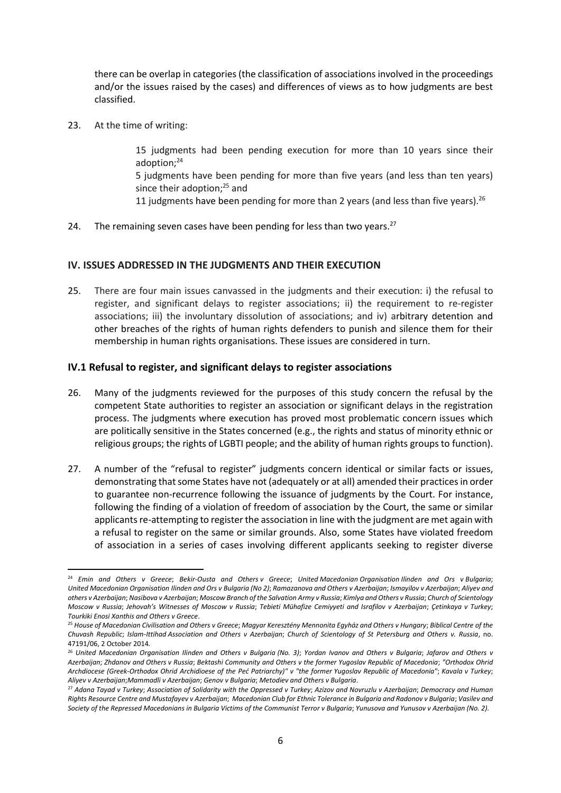there can be overlap in categories (the classification of associations involved in the proceedings and/or the issues raised by the cases) and differences of views as to how judgments are best classified.

23. At the time of writing:

**.** 

15 judgments had been pending execution for more than 10 years since their adoption:<sup>24</sup>

5 judgments have been pending for more than five years (and less than ten years) since their adoption;<sup>25</sup> and

11 judgments have been pending for more than 2 years (and less than five years).<sup>26</sup>

24. The remaining seven cases have been pending for less than two years. $27$ 

## <span id="page-6-0"></span>**IV. ISSUES ADDRESSED IN THE JUDGMENTS AND THEIR EXECUTION**

25. There are four main issues canvassed in the judgments and their execution: i) the refusal to register, and significant delays to register associations; ii) the requirement to re-register associations; iii) the involuntary dissolution of associations; and iv) arbitrary detention and other breaches of the rights of human rights defenders to punish and silence them for their membership in human rights organisations. These issues are considered in turn.

#### <span id="page-6-1"></span>**IV.1 Refusal to register, and significant delays to register associations**

- 26. Many of the judgments reviewed for the purposes of this study concern the refusal by the competent State authorities to register an association or significant delays in the registration process. The judgments where execution has proved most problematic concern issues which are politically sensitive in the States concerned (e.g., the rights and status of minority ethnic or religious groups; the rights of LGBTI people; and the ability of human rights groups to function).
- 27. A number of the "refusal to register" judgments concern identical or similar facts or issues, demonstrating that some States have not (adequately or at all) amended their practices in order to guarantee non-recurrence following the issuance of judgments by the Court. For instance, following the finding of a violation of freedom of association by the Court, the same or similar applicants re-attempting to register the association in line with the judgment are met again with a refusal to register on the same or similar grounds. Also, some States have violated freedom of association in a series of cases involving different applicants seeking to register diverse

<sup>24</sup> *Emin and Others v Greece*; *Bekir-Ousta and Others v Greece*; *United Macedonian Organisation Ilinden and Ors v Bulgaria*; *United Macedonian Organisation Ilinden and Ors v Bulgaria (No 2)*; *Ramazanova and Others v Azerbaijan*; *Ismayilov v Azerbaijan*; *Aliyev and others v Azerbaijan*; *Nasibova v Azerbaijan*; *Moscow Branch of the Salvation Army v Russia*; *Kimlya and Others v Russia*; *Church of Scientology Moscow v Russia*; *Jehovah's Witnesses of Moscow v Russia*; *Tebieti Mühafize Cemiyyeti and Israfilov v Azerbaijan*; *Çetinkaya v Turkey*; *Tourkiki Enosi Xanthis and Others v Greece*.

<sup>25</sup> *House of Macedonian Civilisation and Others v Greece*; *Magyar Keresztény Mennonita Egyház and Others v Hungary*; *Biblical Centre of the Chuvash Republic*; *Islam-Ittihad Association and Others v Azerbaijan*; *Church of Scientology of St Petersburg and Others v. Russia*, no. 47191/06, 2 October 2014*.*

<sup>26</sup> *United Macedonian Organisation Ilinden and Others v Bulgaria (No. 3)*; *Yordan Ivanov and Others v Bulgaria*; *Jafarov and Others v Azerbaijan*; *Zhdanov and Others v Russia*; *Bektashi Community and Others v the former Yugoslav Republic of Macedonia*; *"Orthodox Ohrid Archdiocese (Greek-Orthodox Ohrid Archidioese of the Peć Patriarchy)" v "the former Yugoslav Republic of Macedonia"*; *Kavala v Turkey*; *Aliyev v Azerbaijan*;*Mammadli v Azerbaijan*; *Genov v Bulgaria*; *Metodiev and Others v Bulgaria*.

<sup>27</sup> *Adana Tayad v Turkey*; *Association of Solidarity with the Oppressed v Turkey*; *Azizov and Novruzlu v Azerbaijan*; *Democracy and Human Rights Resource Centre and Mustafayev v Azerbaijan*; *Macedonian Club for Ethnic Tolerance in Bulgaria and Radonov v Bulgaria*; *Vasilev and Society of the Repressed Macedonians in Bulgaria Victims of the Communist Terror v Bulgaria*; *Yunusova and Yunusov v Azerbaijan (No. 2).*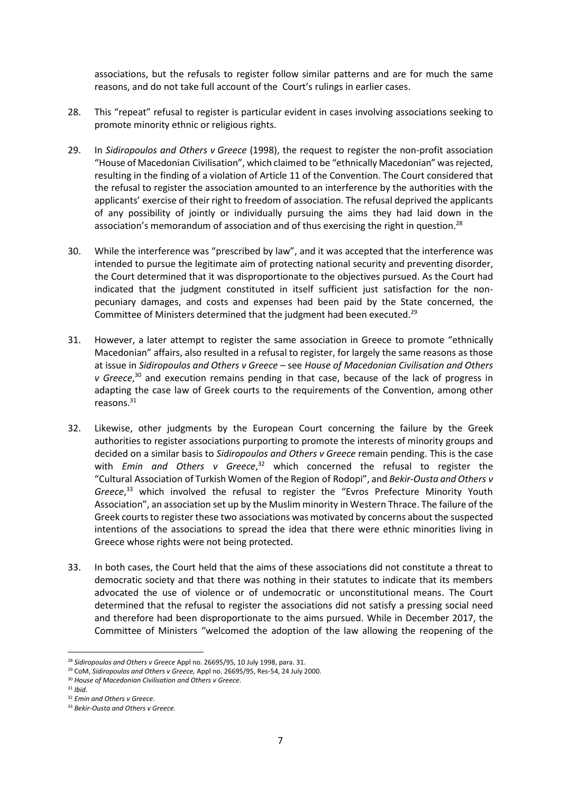associations, but the refusals to register follow similar patterns and are for much the same reasons, and do not take full account of the Court's rulings in earlier cases.

- 28. This "repeat" refusal to register is particular evident in cases involving associations seeking to promote minority ethnic or religious rights.
- 29. In *Sidiropoulos and Others v Greece* (1998), the request to register the non-profit association "House of Macedonian Civilisation", which claimed to be "ethnically Macedonian" was rejected, resulting in the finding of a violation of Article 11 of the Convention. The Court considered that the refusal to register the association amounted to an interference by the authorities with the applicants' exercise of their right to freedom of association. The refusal deprived the applicants of any possibility of jointly or individually pursuing the aims they had laid down in the association's memorandum of association and of thus exercising the right in question.<sup>28</sup>
- 30. While the interference was "prescribed by law", and it was accepted that the interference was intended to pursue the legitimate aim of protecting national security and preventing disorder, the Court determined that it was disproportionate to the objectives pursued. As the Court had indicated that the judgment constituted in itself sufficient just satisfaction for the nonpecuniary damages, and costs and expenses had been paid by the State concerned, the Committee of Ministers determined that the judgment had been executed.<sup>29</sup>
- 31. However, a later attempt to register the same association in Greece to promote "ethnically Macedonian" affairs, also resulted in a refusal to register, for largely the same reasons as those at issue in *Sidiropoulos and Others v Greece –* see *House of Macedonian Civilisation and Others v Greece*, <sup>30</sup> and execution remains pending in that case, because of the lack of progress in adapting the case law of Greek courts to the requirements of the Convention, among other reasons. 31
- 32. Likewise, other judgments by the European Court concerning the failure by the Greek authorities to register associations purporting to promote the interests of minority groups and decided on a similar basis to *Sidiropoulos and Others v Greece* remain pending. This is the case with *Emin and Others v Greece*, <sup>32</sup> which concerned the refusal to register the "Cultural Association of Turkish Women of the Region of Rodopi", and *Bekir-Ousta and Others v Greece*, <sup>33</sup> which involved the refusal to register the "Evros Prefecture Minority Youth Association", an association set up by the Muslim minority in Western Thrace. The failure of the Greek courts to register these two associations was motivated by concerns about the suspected intentions of the associations to spread the idea that there were ethnic minorities living in Greece whose rights were not being protected.
- 33. In both cases, the Court held that the aims of these associations did not constitute a threat to democratic society and that there was nothing in their statutes to indicate that its members advocated the use of violence or of undemocratic or unconstitutional means. The Court determined that the refusal to register the associations did not satisfy a pressing social need and therefore had been disproportionate to the aims pursued. While in December 2017, the Committee of Ministers "welcomed the adoption of the law allowing the reopening of the

<sup>28</sup> *Sidiropoulos and Others v Greece* Appl no. 26695/95, 10 July 1998, para. 31.

<sup>29</sup> CoM, *Sidiropoulos and Others v Greece,* Appl no. 26695/95, Res-54, 24 July 2000.

<sup>30</sup> *House of Macedonian Civilisation and Others v Greece*.

<sup>31</sup> *Ibid*.

<sup>32</sup> *Emin and Others v Greece.*

<sup>33</sup> *Bekir-Ousta and Others v Greece.*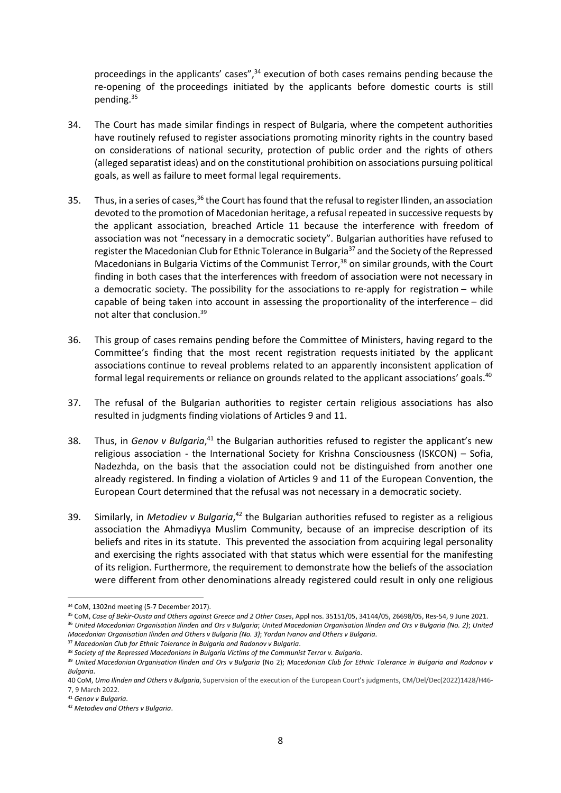proceedings in the applicants' cases",<sup>34</sup> execution of both cases remains pending because the re-opening of the proceedings initiated by the applicants before domestic courts is still pending.<sup>35</sup>

- 34. The Court has made similar findings in respect of Bulgaria, where the competent authorities have routinely refused to register associations promoting minority rights in the country based on considerations of national security, protection of public order and the rights of others (alleged separatist ideas) and on the constitutional prohibition on associations pursuing political goals, as well as failure to meet formal legal requirements.
- 35. Thus, in a series of cases, <sup>36</sup> the Court has found that the refusal to register Ilinden, an association devoted to the promotion of Macedonian heritage, a refusal repeated in successive requests by the applicant association, breached Article 11 because the interference with freedom of association was not "necessary in a democratic society". Bulgarian authorities have refused to register the Macedonian Club for Ethnic Tolerance in Bulgaria<sup>37</sup> and the Society of the Repressed Macedonians in Bulgaria Victims of the Communist Terror, <sup>38</sup> on similar grounds, with the Court finding in both cases that the interferences with freedom of association were not necessary in a democratic society. The possibility for the associations to re-apply for registration – while capable of being taken into account in assessing the proportionality of the interference – did not alter that conclusion.<sup>39</sup>
- 36. This group of cases remains pending before the Committee of Ministers, having regard to the Committee's finding that the most recent registration requests initiated by the applicant associations continue to reveal problems related to an apparently inconsistent application of formal legal requirements or reliance on grounds related to the applicant associations' goals.<sup>40</sup>
- 37. The refusal of the Bulgarian authorities to register certain religious associations has also resulted in judgments finding violations of Articles 9 and 11.
- 38. Thus, in *Genov v Bulgaria*,<sup>41</sup> the Bulgarian authorities refused to register the applicant's new religious association - the International Society for Krishna Consciousness (ISKCON) – Sofia, Nadezhda, on the basis that the association could not be distinguished from another one already registered. In finding a violation of Articles 9 and 11 of the European Convention, the European Court determined that the refusal was not necessary in a democratic society.
- 39. Similarly, in *Metodiev v Bulgaria*, <sup>42</sup> the Bulgarian authorities refused to register as a religious association the Ahmadiyya Muslim Community, because of an imprecise description of its beliefs and rites in its statute. This prevented the association from acquiring legal personality and exercising the rights associated with that status which were essential for the manifesting of its religion. Furthermore, the requirement to demonstrate how the beliefs of the association were different from other denominations already registered could result in only one religious

<sup>37</sup> *Macedonian Club for Ethnic Tolerance in Bulgaria and Radonov v Bulgaria*.

**<sup>.</sup>** <sup>34</sup> CoM, 1302nd meeting (5-7 December 2017).

<sup>35</sup> CoM, *Case of Bekir-Ousta and Others against Greece and 2 Other Cases*, Appl nos. 35151/05, 34144/05, 26698/05, Res-54, 9 June 2021.

<sup>36</sup> *United Macedonian Organisation Ilinden and Ors v Bulgaria*; *United Macedonian Organisation Ilinden and Ors v Bulgaria (No. 2)*; *United Macedonian Organisation Ilinden and Others v Bulgaria (No. 3)*; *Yordan Ivanov and Others v Bulgaria*.

<sup>38</sup> *Society of the Repressed Macedonians in Bulgaria Victims of the Communist Terror v. Bulgaria*.

<sup>39</sup> *United Macedonian Organisation Ilinden and Ors v Bulgaria* (No 2); *Macedonian Club for Ethnic Tolerance in Bulgaria and Radonov v Bulgaria*.

<sup>40</sup> CoM, *Umo Ilinden and Others v Bulgaria*, Supervision of the execution of the European Court's judgments, CM/Del/Dec(2022)1428/H46- 7, 9 March 2022.

<sup>41</sup> *Genov v Bulgaria*.

<sup>42</sup> *Metodiev and Others v Bulgaria*.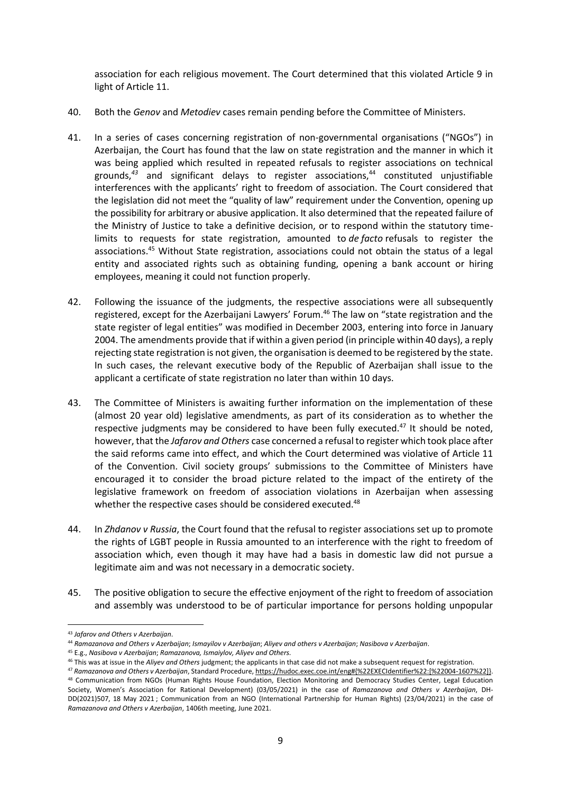association for each religious movement. The Court determined that this violated Article 9 in light of Article 11.

- 40. Both the *Genov* and *Metodiev* cases remain pending before the Committee of Ministers.
- 41. In a series of cases concerning registration of non-governmental organisations ("NGOs") in Azerbaijan, the Court has found that the law on state registration and the manner in which it was being applied which resulted in repeated refusals to register associations on technical grounds,<sup>43</sup> and significant delays to register associations,<sup>44</sup> constituted unjustifiable interferences with the applicants' right to freedom of association. The Court considered that the legislation did not meet the "quality of law" requirement under the Convention, opening up the possibility for arbitrary or abusive application. It also determined that the repeated failure of the Ministry of Justice to take a definitive decision, or to respond within the statutory timelimits to requests for state registration, amounted to *de facto* refusals to register the associations. <sup>45</sup> Without State registration, associations could not obtain the status of a legal entity and associated rights such as obtaining funding, opening a bank account or hiring employees, meaning it could not function properly.
- 42. Following the issuance of the judgments, the respective associations were all subsequently registered, except for the Azerbaijani Lawyers' Forum.<sup>46</sup> The law on "state registration and the state register of legal entities" was modified in December 2003, entering into force in January 2004. The amendments provide that if within a given period (in principle within 40 days), a reply rejecting state registration is not given, the organisation is deemed to be registered by the state. In such cases, the relevant executive body of the Republic of Azerbaijan shall issue to the applicant a certificate of state registration no later than within 10 days.
- 43. The Committee of Ministers is awaiting further information on the implementation of these (almost 20 year old) legislative amendments, as part of its consideration as to whether the respective judgments may be considered to have been fully executed.<sup>47</sup> It should be noted. however, that the *Jafarov and Others* case concerned a refusal to register which took place after the said reforms came into effect, and which the Court determined was violative of Article 11 of the Convention. Civil society groups' submissions to the Committee of Ministers have encouraged it to consider the broad picture related to the impact of the entirety of the legislative framework on freedom of association violations in Azerbaijan when assessing whether the respective cases should be considered executed.<sup>48</sup>
- 44. In *Zhdanov v Russia*, the Court found that the refusal to register associations set up to promote the rights of LGBT people in Russia amounted to an interference with the right to freedom of association which, even though it may have had a basis in domestic law did not pursue a legitimate aim and was not necessary in a democratic society.
- 45. The positive obligation to secure the effective enjoyment of the right to freedom of association and assembly was understood to be of particular importance for persons holding unpopular

<sup>43</sup> *Jafarov and Others v Azerbaijan*.

<sup>44</sup> *Ramazanova and Others v Azerbaijan*; *Ismayilov v Azerbaijan*; *Aliyev and others v Azerbaijan*; *Nasibova v Azerbaijan*.

<sup>45</sup> E.g., *Nasibova v Azerbaijan*; *Ramazanova, Ismaiylov, Aliyev and Others.*

<sup>46</sup> This was at issue in the *Aliyev and Others* judgment; the applicants in that case did not make a subsequent request for registration.

<sup>47</sup> *Ramazanova and Others v Azerbaijan*, Standard Procedure, [https://hudoc.exec.coe.int/eng#{%22EXECIdentifier%22:\[%22004-1607%22\]}.](https://hudoc.exec.coe.int/eng#{%22EXECIdentifier%22:[%22004-1607%22]}) 48 Communication from NGOs (Human Rights House Foundation, Election Monitoring and Democracy Studies Center, Legal Education Society, Women's Association for Rational Development) (03/05/2021) in the case of *Ramazanova and Others v Azerbaijan*, DH-DD(2021)507, 18 May 2021 ; Communication from an NGO (International Partnership for Human Rights) (23/04/2021) in the case of *Ramazanova and Others v Azerbaijan*, 1406th meeting, June 2021.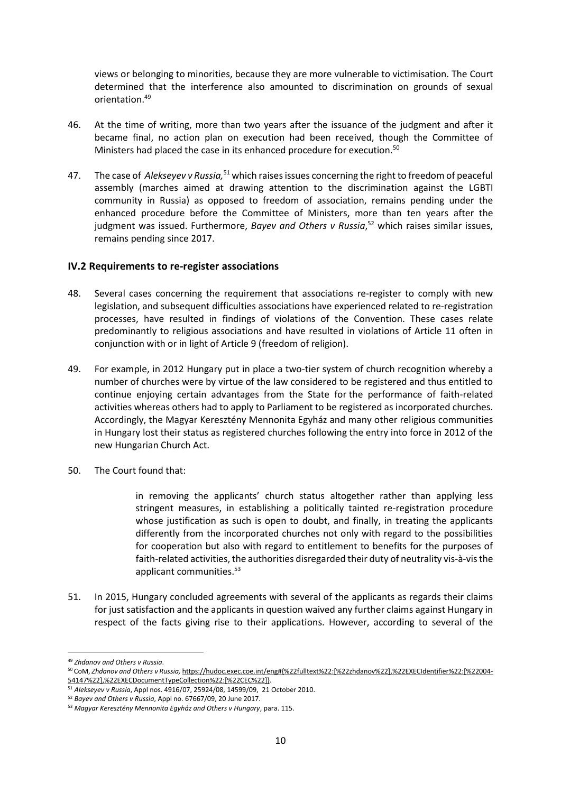views or belonging to minorities, because they are more vulnerable to victimisation. The Court determined that the interference also amounted to discrimination on grounds of sexual orientation.<sup>49</sup>

- 46. At the time of writing, more than two years after the issuance of the judgment and after it became final, no action plan on execution had been received, though the Committee of Ministers had placed the case in its enhanced procedure for execution.<sup>50</sup>
- 47. The case of *Alekseyev v Russia,* <sup>51</sup> which raisesissues concerning the right to freedom of peaceful assembly (marches aimed at drawing attention to the discrimination against the LGBTI community in Russia) as opposed to freedom of association, remains pending under the enhanced procedure before the Committee of Ministers, more than ten years after the judgment was issued. Furthermore, *Bayev and Others v Russia*, <sup>52</sup> which raises similar issues, remains pending since 2017.

## <span id="page-10-0"></span>**IV.2 Requirements to re-register associations**

- 48. Several cases concerning the requirement that associations re-register to comply with new legislation, and subsequent difficulties associations have experienced related to re-registration processes, have resulted in findings of violations of the Convention. These cases relate predominantly to religious associations and have resulted in violations of Article 11 often in conjunction with or in light of Article 9 (freedom of religion).
- 49. For example, in 2012 Hungary put in place a two-tier system of church recognition whereby a number of churches were by virtue of the law considered to be registered and thus entitled to continue enjoying certain advantages from the State for the performance of faith-related activities whereas others had to apply to Parliament to be registered as incorporated churches. Accordingly, the Magyar Keresztény Mennonita Egyház and many other religious communities in Hungary lost their status as registered churches following the entry into force in 2012 of the new Hungarian Church Act.
- 50. The Court found that:

in removing the applicants' church status altogether rather than applying less stringent measures, in establishing a politically tainted re-registration procedure whose justification as such is open to doubt, and finally, in treating the applicants differently from the incorporated churches not only with regard to the possibilities for cooperation but also with regard to entitlement to benefits for the purposes of faith-related activities, the authorities disregarded their duty of neutrality vis-à-vis the applicant communities.<sup>53</sup>

51. In 2015, Hungary concluded agreements with several of the applicants as regards their claims for just satisfaction and the applicants in question waived any further claims against Hungary in respect of the facts giving rise to their applications. However, according to several of the

<sup>49</sup> *Zhdanov and Others v Russia*.

<sup>50</sup> CoM, *Zhdanov and Others v Russia,* [https://hudoc.exec.coe.int/eng#{%22fulltext%22:\[%22zhdanov%22\],%22EXECIdentifier%22:\[%22004-](https://hudoc.exec.coe.int/eng#{%22fulltext%22:[%22zhdanov%22],%22EXECIdentifier%22:[%22004-54147%22],%22EXECDocumentTypeCollection%22:[%22CEC%22]}) [54147%22\],%22EXECDocumentTypeCollection%22:\[%22CEC%22\]}.](https://hudoc.exec.coe.int/eng#{%22fulltext%22:[%22zhdanov%22],%22EXECIdentifier%22:[%22004-54147%22],%22EXECDocumentTypeCollection%22:[%22CEC%22]})

<sup>51</sup> *Alekseyev v Russia*, Appl nos. 4916/07, 25924/08, 14599/09, 21 October 2010.

<sup>52</sup> *Bayev and Others v Russia*, Appl no. 67667/09, 20 June 2017.

<sup>53</sup> *Magyar Keresztény Mennonita Egyház and Others v Hungary*, para. 115.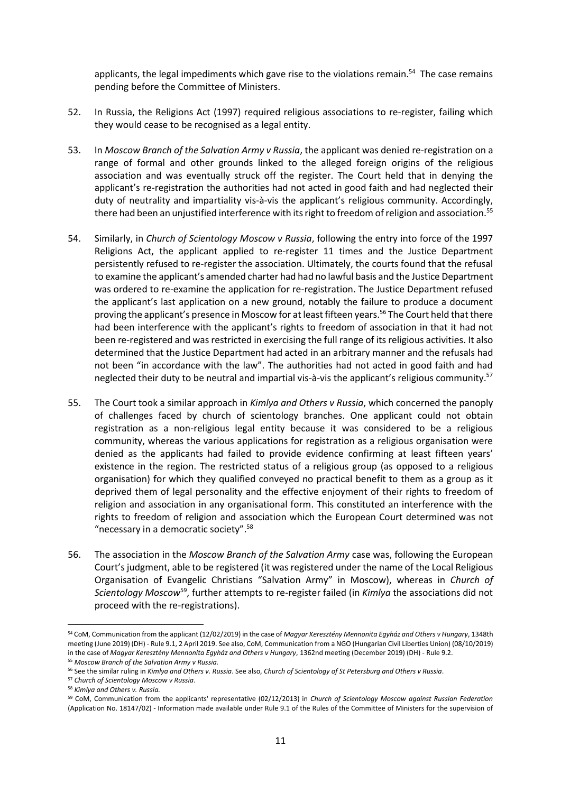applicants, the legal impediments which gave rise to the violations remain.<sup>54</sup> The case remains pending before the Committee of Ministers.

- 52. In Russia, the Religions Act (1997) required religious associations to re-register, failing which they would cease to be recognised as a legal entity.
- 53. In *Moscow Branch of the Salvation Army v Russia*, the applicant was denied re-registration on a range of formal and other grounds linked to the alleged foreign origins of the religious association and was eventually struck off the register. The Court held that in denying the applicant's re-registration the authorities had not acted in good faith and had neglected their duty of neutrality and impartiality vis-à-vis the applicant's religious community. Accordingly, there had been an unjustified interference with its right to freedom of religion and association.<sup>55</sup>
- 54. Similarly, in *Church of Scientology Moscow v Russia*, following the entry into force of the 1997 Religions Act, the applicant applied to re-register 11 times and the Justice Department persistently refused to re-register the association. Ultimately, the courts found that the refusal to examine the applicant's amended charter had had no lawful basis and the Justice Department was ordered to re-examine the application for re-registration. The Justice Department refused the applicant's last application on a new ground, notably the failure to produce a document proving the applicant's presence in Moscow for at least fifteen years.<sup>56</sup> The Court held that there had been interference with the applicant's rights to freedom of association in that it had not been re-registered and was restricted in exercising the full range of its religious activities. It also determined that the Justice Department had acted in an arbitrary manner and the refusals had not been "in accordance with the law". The authorities had not acted in good faith and had neglected their duty to be neutral and impartial vis-à-vis the applicant's religious community.<sup>57</sup>
- 55. The Court took a similar approach in *Kimlya and Others v Russia*, which concerned the panoply of challenges faced by church of scientology branches. One applicant could not obtain registration as a non-religious legal entity because it was considered to be a religious community, whereas the various applications for registration as a religious organisation were denied as the applicants had failed to provide evidence confirming at least fifteen years' existence in the region. The restricted status of a religious group (as opposed to a religious organisation) for which they qualified conveyed no practical benefit to them as a group as it deprived them of legal personality and the effective enjoyment of their rights to freedom of religion and association in any organisational form. This constituted an interference with the rights to freedom of religion and association which the European Court determined was not "necessary in a democratic society".<sup>58</sup>
- 56. The association in the *Moscow Branch of the Salvation Army* case was, following the European Court's judgment, able to be registered (it was registered under the name of the Local Religious Organisation of Evangelic Christians "Salvation Army" in Moscow), whereas in *Church of*  Scientology Moscow<sup>59</sup>, further attempts to re-register failed (in *Kimlya* the associations did not proceed with the re-registrations).

<sup>54</sup> CoM, Communication from the applicant (12/02/2019) in the case of *Magyar Keresztény Mennonita Egyház and Others v Hungary*, 1348th meeting (June 2019) (DH) - Rule 9.1, 2 April 2019. See also, CoM, Communication from a NGO (Hungarian Civil Liberties Union) (08/10/2019) in the case of *Magyar Keresztény Mennonita Egyház and Others v Hungary*, 1362nd meeting (December 2019) (DH) - Rule 9.2.

<sup>55</sup> *Moscow Branch of the Salvation Army v Russia.*

<sup>56</sup> See the similar ruling in *Kimlya and Others v. Russia*. See also, *Church of Scientology of St Petersburg and Others v Russia*.

<sup>57</sup> *Church of Scientology Moscow v Russia*.

<sup>58</sup> *Kimlya and Others v. Russia.*

<sup>59</sup> CoM, Communication from the applicants' representative (02/12/2013) in *Church of Scientology Moscow against Russian Federation* (Application No. 18147/02) - Information made available under Rule 9.1 of the Rules of the Committee of Ministers for the supervision of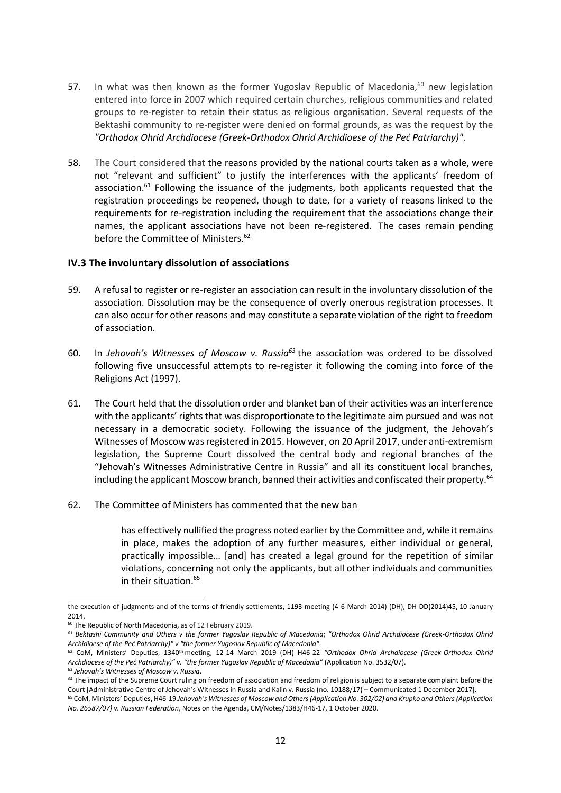- 57. In what was then known as the former Yugoslav Republic of Macedonia, $60$  new legislation entered into force in 2007 which required certain churches, religious communities and related groups to re-register to retain their status as religious organisation. Several requests of the Bektashi community to re-register were denied on formal grounds, as was the request by the *"Orthodox Ohrid Archdiocese (Greek-Orthodox Ohrid Archidioese of the Peć Patriarchy)"*.
- 58. The Court considered that the reasons provided by the national courts taken as a whole, were not "relevant and sufficient" to justify the interferences with the applicants' freedom of association.<sup>61</sup> Following the issuance of the judgments, both applicants requested that the registration proceedings be reopened, though to date, for a variety of reasons linked to the requirements for re-registration including the requirement that the associations change their names, the applicant associations have not been re-registered. The cases remain pending before the Committee of Ministers. 62

#### <span id="page-12-0"></span>**IV.3 The involuntary dissolution of associations**

- 59. A refusal to register or re-register an association can result in the involuntary dissolution of the association. Dissolution may be the consequence of overly onerous registration processes. It can also occur for other reasons and may constitute a separate violation of the right to freedom of association.
- 60. In *Jehovah's Witnesses of Moscow v. Russia<sup>63</sup>* the association was ordered to be dissolved following five unsuccessful attempts to re-register it following the coming into force of the Religions Act (1997).
- 61. The Court held that the dissolution order and blanket ban of their activities was an interference with the applicants' rights that was disproportionate to the legitimate aim pursued and was not necessary in a democratic society. Following the issuance of the judgment, the Jehovah's Witnesses of Moscow was registered in 2015. However, on 20 April 2017, under anti-extremism legislation, the Supreme Court dissolved the central body and regional branches of the "Jehovah's Witnesses Administrative Centre in Russia" and all its constituent local branches, including the applicant Moscow branch, banned their activities and confiscated their property.<sup>64</sup>
- 62. The Committee of Ministers has commented that the new ban

has effectively nullified the progress noted earlier by the Committee and, while it remains in place, makes the adoption of any further measures, either individual or general, practically impossible… [and] has created a legal ground for the repetition of similar violations, concerning not only the applicants, but all other individuals and communities in their situation.<sup>65</sup>

<sup>63</sup> *Jehovah's Witnesses of Moscow v. Russia*.

the execution of judgments and of the terms of friendly settlements, 1193 meeting (4-6 March 2014) (DH), DH-DD(2014)45, 10 January 2014.

<sup>60</sup> The Republic of North Macedonia, as of 12 February 2019.

<sup>&</sup>lt;sup>61</sup> Bektashi Community and Others v the former Yugoslav Republic of Macedonia; "Orthodox Ohrid Archdiocese (Greek-Orthodox Ohrid *Archidioese of the Peć Patriarchy)" v "the former Yugoslav Republic of Macedonia"*.

<sup>62</sup> CoM, Ministers' Deputies, 1340th meeting, 12-14 March 2019 (DH) H46-22 *"Orthodox Ohrid Archdiocese (Greek-Orthodox Ohrid Archdiocese of the Peć Patriarchy)" v. "the former Yugoslav Republic of Macedonia"* (Application No. 3532/07).

<sup>&</sup>lt;sup>64</sup> The impact of the Supreme Court ruling on freedom of association and freedom of religion is subject to a separate complaint before the Court [Administrative Centre of Jehovah's Witnesses in Russia and Kalin v. Russia (no. 10188/17) – Communicated 1 December 2017].

<sup>65</sup> CoM, Ministers' Deputies, H46-19 *Jehovah's Witnesses of Moscow and Others (Application No. 302/02) and Krupko and Others (Application No. 26587/07) v. Russian Federation*, Notes on the Agenda, CM/Notes/1383/H46-17, 1 October 2020.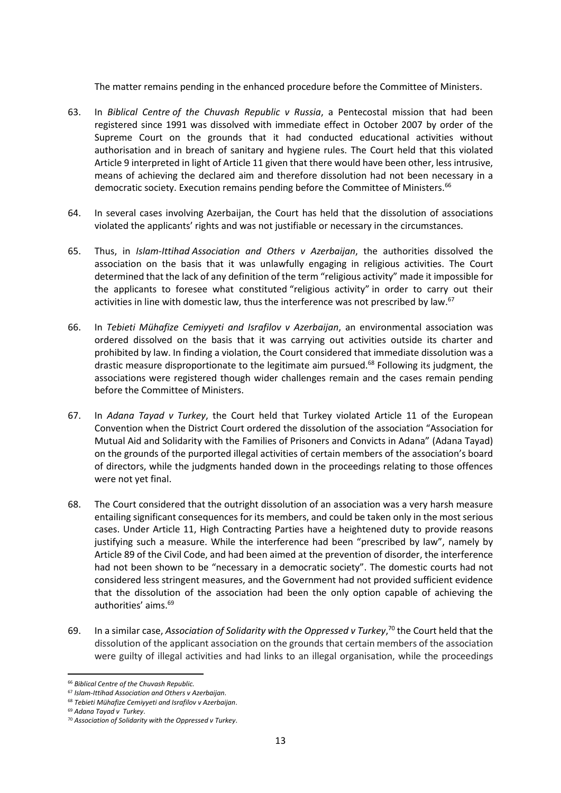The matter remains pending in the enhanced procedure before the Committee of Ministers.

- 63. In *Biblical Centre of the Chuvash Republic v Russia*, a Pentecostal mission that had been registered since 1991 was dissolved with immediate effect in October 2007 by order of the Supreme Court on the grounds that it had conducted educational activities without authorisation and in breach of sanitary and hygiene rules. The Court held that this violated Article 9 interpreted in light of Article 11 given that there would have been other, less intrusive, means of achieving the declared aim and therefore dissolution had not been necessary in a democratic society. Execution remains pending before the Committee of Ministers.<sup>66</sup>
- 64. In several cases involving Azerbaijan, the Court has held that the dissolution of associations violated the applicants' rights and was not justifiable or necessary in the circumstances.
- 65. Thus, in *Islam-Ittihad Association and Others v Azerbaijan*, the authorities dissolved the association on the basis that it was unlawfully engaging in religious activities. The Court determined that the lack of any definition of the term "religious activity" made it impossible for the applicants to foresee what constituted "religious activity" in order to carry out their activities in line with domestic law, thus the interference was not prescribed by law.<sup>67</sup>
- 66. In *Tebieti Mühafize Cemiyyeti and Israfilov v Azerbaijan*, an environmental association was ordered dissolved on the basis that it was carrying out activities outside its charter and prohibited by law. In finding a violation, the Court considered that immediate dissolution was a drastic measure disproportionate to the legitimate aim pursued.<sup>68</sup> Following its judgment, the associations were registered though wider challenges remain and the cases remain pending before the Committee of Ministers.
- 67. In *Adana Tayad v Turkey*, the Court held that Turkey violated Article 11 of the European Convention when the District Court ordered the dissolution of the association "Association for Mutual Aid and Solidarity with the Families of Prisoners and Convicts in Adana" (Adana Tayad) on the grounds of the purported illegal activities of certain members of the association's board of directors, while the judgments handed down in the proceedings relating to those offences were not yet final.
- 68. The Court considered that the outright dissolution of an association was a very harsh measure entailing significant consequences for its members, and could be taken only in the most serious cases. Under Article 11, High Contracting Parties have a heightened duty to provide reasons justifying such a measure. While the interference had been "prescribed by law", namely by Article 89 of the Civil Code, and had been aimed at the prevention of disorder, the interference had not been shown to be "necessary in a democratic society". The domestic courts had not considered less stringent measures, and the Government had not provided sufficient evidence that the dissolution of the association had been the only option capable of achieving the authorities' aims.<sup>69</sup>
- 69. In a similar case, *Association of Solidarity with the Oppressed v Turkey*, <sup>70</sup> the Court held that the dissolution of the applicant association on the grounds that certain members of the association were guilty of illegal activities and had links to an illegal organisation, while the proceedings

<sup>66</sup> *Biblical Centre of the Chuvash Republic.*

<sup>67</sup> *Islam-Ittihad Association and Others v Azerbaijan*.

<sup>68</sup> *Tebieti Mühafize Cemiyyeti and Israfilov v Azerbaijan*.

<sup>69</sup> *Adana Tayad v Turkey*.

<sup>70</sup> *Association of Solidarity with the Oppressed v Turkey*.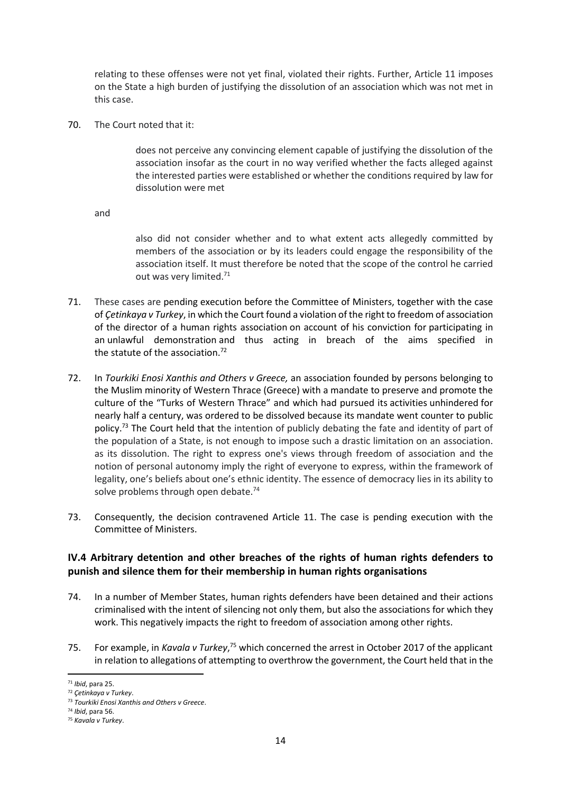relating to these offenses were not yet final, violated their rights. Further, Article 11 imposes on the State a high burden of justifying the dissolution of an association which was not met in this case.

70. The Court noted that it:

does not perceive any convincing element capable of justifying the dissolution of the association insofar as the court in no way verified whether the facts alleged against the interested parties were established or whether the conditions required by law for dissolution were met

and

also did not consider whether and to what extent acts allegedly committed by members of the association or by its leaders could engage the responsibility of the association itself. It must therefore be noted that the scope of the control he carried out was very limited.<sup>71</sup>

- 71. These cases are pending execution before the Committee of Ministers, together with the case of *Çetinkaya v Turkey*, in which the Court found a violation of the right to freedom of association of the director of a human rights association on account of his conviction for participating in an unlawful demonstration and thus acting in breach of the aims specified in the statute of the association.<sup>72</sup>
- 72. In *Tourkiki Enosi Xanthis and Others v Greece,* an association founded by persons belonging to the Muslim minority of Western Thrace (Greece) with a mandate to preserve and promote the culture of the "Turks of Western Thrace" and which had pursued its activities unhindered for nearly half a century, was ordered to be dissolved because its mandate went counter to public policy.<sup>73</sup> The Court held that the intention of publicly debating the fate and identity of part of the population of a State, is not enough to impose such a drastic limitation on an association. as its dissolution. The right to express one's views through freedom of association and the notion of personal autonomy imply the right of everyone to express, within the framework of legality, one's beliefs about one's ethnic identity. The essence of democracy lies in its ability to solve problems through open debate.<sup>74</sup>
- 73. Consequently, the decision contravened Article 11. The case is pending execution with the Committee of Ministers.

## <span id="page-14-0"></span>**IV.4 Arbitrary detention and other breaches of the rights of human rights defenders to punish and silence them for their membership in human rights organisations**

- 74. In a number of Member States, human rights defenders have been detained and their actions criminalised with the intent of silencing not only them, but also the associations for which they work. This negatively impacts the right to freedom of association among other rights.
- 75. For example, in *Kavala v Turkey*,<sup>75</sup> which concerned the arrest in October 2017 of the applicant in relation to allegations of attempting to overthrow the government, the Court held that in the

**<sup>.</sup>** <sup>71</sup> *Ibid*, para 25.

<sup>72</sup> *Çetinkaya v Turkey*.

<sup>73</sup> *Tourkiki Enosi Xanthis and Others v Greece*.

<sup>74</sup> *Ibid*, para 56.

<sup>75</sup> *Kavala v Turkey*.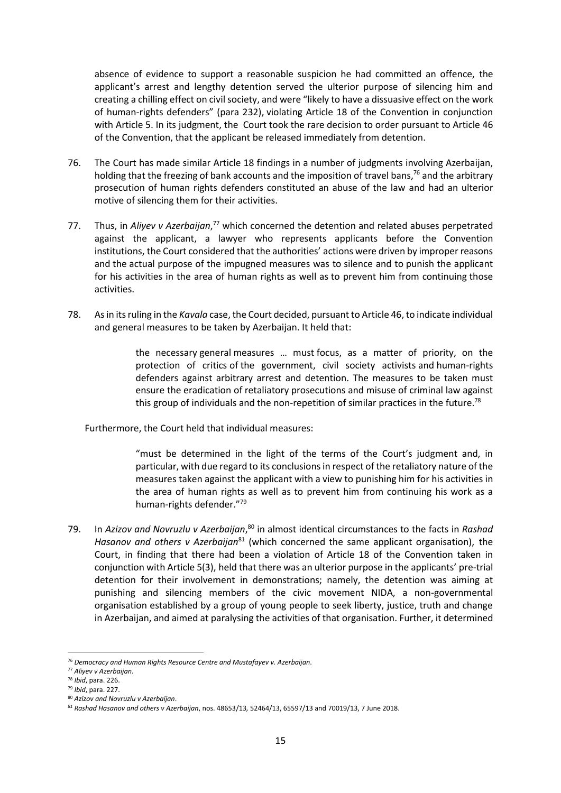absence of evidence to support a reasonable suspicion he had committed an offence, the applicant's arrest and lengthy detention served the ulterior purpose of silencing him and creating a chilling effect on civil society, and were "likely to have a dissuasive effect on the work of human-rights defenders" (para 232), violating Article 18 of the Convention in conjunction with Article 5. In its judgment, the Court took the rare decision to order pursuant to Article 46 of the Convention, that the applicant be released immediately from detention.

- 76. The Court has made similar Article 18 findings in a number of judgments involving Azerbaijan, holding that the freezing of bank accounts and the imposition of travel bans, $76$  and the arbitrary prosecution of human rights defenders constituted an abuse of the law and had an ulterior motive of silencing them for their activities.
- 77. Thus, in Aliyev v Azerbaijan,<sup>77</sup> which concerned the detention and related abuses perpetrated against the applicant, a lawyer who represents applicants before the Convention institutions, the Court considered that the authorities' actions were driven by improper reasons and the actual purpose of the impugned measures was to silence and to punish the applicant for his activities in the area of human rights as well as to prevent him from continuing those activities.
- 78. As in its ruling in the *Kavala* case, the Court decided, pursuant to Article 46, to indicate individual and general measures to be taken by Azerbaijan. It held that:

the necessary general measures … must focus, as a matter of priority, on the protection of critics of the government, civil society activists and human-rights defenders against arbitrary arrest and detention. The measures to be taken must ensure the eradication of retaliatory prosecutions and misuse of criminal law against this group of individuals and the non-repetition of similar practices in the future.<sup>78</sup>

Furthermore, the Court held that individual measures:

"must be determined in the light of the terms of the Court's judgment and, in particular, with due regard to its conclusions in respect of the retaliatory nature of the measures taken against the applicant with a view to punishing him for his activities in the area of human rights as well as to prevent him from continuing his work as a human-rights defender."<sup>79</sup>

79. In Azizov and Novruzlu v Azerbaijan,<sup>80</sup> in almost identical circumstances to the facts in Rashad *Hasanov and others v Azerbaijan*<sup>81</sup> (which concerned the same applicant organisation), the Court, in finding that there had been a violation of Article 18 of the Convention taken in conjunction with Article 5(3), held that there was an ulterior purpose in the applicants' pre-trial detention for their involvement in demonstrations; namely, the detention was aiming at punishing and silencing members of the civic movement NIDA, a non-governmental organisation established by a group of young people to seek liberty, justice, truth and change in Azerbaijan, and aimed at paralysing the activities of that organisation. Further, it determined

<sup>1</sup> <sup>76</sup> *Democracy and Human Rights Resource Centre and Mustafayev v. Azerbaijan*.

<sup>77</sup> *Aliyev v Azerbaijan*.

<sup>78</sup> *Ibid*, para. 226.

<sup>79</sup> *Ibid*, para. 227.

<sup>80</sup> *Azizov and Novruzlu v Azerbaijan*.

*<sup>81</sup> Rashad Hasanov and others v Azerbaijan*, nos. 48653/13*,* 52464/13, 65597/13 and 70019/13, 7 June 2018.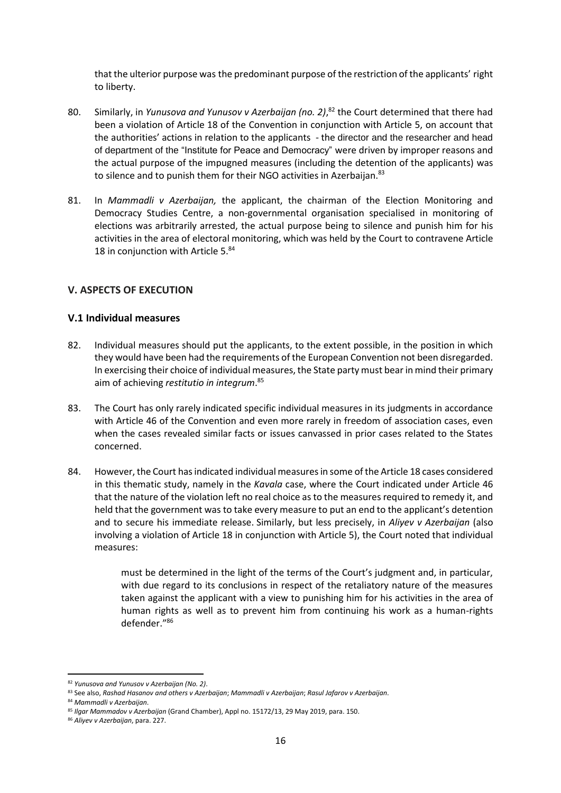that the ulterior purpose was the predominant purpose of the restriction of the applicants' right to liberty.

- 80. Similarly, in *Yunusova and Yunusov v Azerbaijan (no. 2)*, <sup>82</sup> the Court determined that there had been a violation of Article 18 of the Convention in conjunction with Article 5, on account that the authorities' actions in relation to the applicants - the director and the researcher and head of department of the "Institute for Peace and Democracy" were driven by improper reasons and the actual purpose of the impugned measures (including the detention of the applicants) was to silence and to punish them for their NGO activities in Azerbaijan.<sup>83</sup>
- 81. In *Mammadli v Azerbaijan,* the applicant, the chairman of the Election Monitoring and Democracy Studies Centre, a non-governmental organisation specialised in monitoring of elections was arbitrarily arrested, the actual purpose being to silence and punish him for his activities in the area of electoral monitoring, which was held by the Court to contravene Article 18 in conjunction with Article 5.84

## <span id="page-16-0"></span>**V. ASPECTS OF EXECUTION**

## <span id="page-16-1"></span>**V.1 Individual measures**

- 82. Individual measures should put the applicants, to the extent possible, in the position in which they would have been had the requirements of the European Convention not been disregarded. In exercising their choice of individual measures, the State party must bear in mind their primary aim of achieving *restitutio in integrum*. 85
- 83. The Court has only rarely indicated specific individual measures in its judgments in accordance with Article 46 of the Convention and even more rarely in freedom of association cases, even when the cases revealed similar facts or issues canvassed in prior cases related to the States concerned.
- 84. However, the Court has indicated individual measures in some of the Article 18 cases considered in this thematic study, namely in the *Kavala* case, where the Court indicated under Article 46 that the nature of the violation left no real choice as to the measures required to remedy it, and held that the government was to take every measure to put an end to the applicant's detention and to secure his immediate release. Similarly, but less precisely, in *Aliyev v Azerbaijan* (also involving a violation of Article 18 in conjunction with Article 5), the Court noted that individual measures:

must be determined in the light of the terms of the Court's judgment and, in particular, with due regard to its conclusions in respect of the retaliatory nature of the measures taken against the applicant with a view to punishing him for his activities in the area of human rights as well as to prevent him from continuing his work as a human-rights defender."<sup>86</sup>

<sup>82</sup> *Yunusova and Yunusov v Azerbaijan (No. 2)*.

<sup>83</sup> See also, *Rashad Hasanov and others v Azerbaijan*; *Mammadli v Azerbaijan*; *Rasul Jafarov v Azerbaijan*.

<sup>84</sup> *Mammadli v Azerbaijan*.

<sup>85</sup> *Ilgar Mammadov v Azerbaijan* (Grand Chamber), Appl no. 15172/13, 29 May 2019, para. 150.

<sup>86</sup> *Aliyev v Azerbaijan*, para. 227.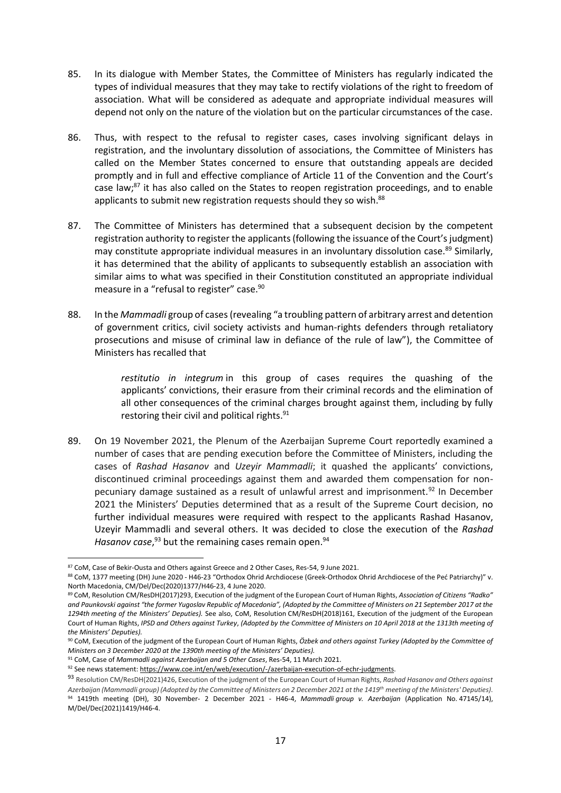- 85. In its dialogue with Member States, the Committee of Ministers has regularly indicated the types of individual measures that they may take to rectify violations of the right to freedom of association. What will be considered as adequate and appropriate individual measures will depend not only on the nature of the violation but on the particular circumstances of the case.
- 86. Thus, with respect to the refusal to register cases, cases involving significant delays in registration, and the involuntary dissolution of associations, the Committee of Ministers has called on the Member States concerned to ensure that outstanding appeals are decided promptly and in full and effective compliance of Article 11 of the Convention and the Court's case law;<sup>87</sup> it has also called on the States to reopen registration proceedings, and to enable applicants to submit new registration requests should they so wish.<sup>88</sup>
- 87. The Committee of Ministers has determined that a subsequent decision by the competent registration authority to register the applicants (following the issuance of the Court's judgment) may constitute appropriate individual measures in an involuntary dissolution case.<sup>89</sup> Similarly, it has determined that the ability of applicants to subsequently establish an association with similar aims to what was specified in their Constitution constituted an appropriate individual measure in a "refusal to register" case.<sup>90</sup>
- 88. In the *Mammadli* group of cases(revealing "a troubling pattern of arbitrary arrest and detention of government critics, civil society activists and human-rights defenders through retaliatory prosecutions and misuse of criminal law in defiance of the rule of law"), the Committee of Ministers has recalled that

*restitutio in integrum* in this group of cases requires the quashing of the applicants' convictions, their erasure from their criminal records and the elimination of all other consequences of the criminal charges brought against them, including by fully restoring their civil and political rights.<sup>91</sup>

89. On 19 November 2021, the Plenum of the Azerbaijan Supreme Court reportedly examined a number of cases that are pending execution before the Committee of Ministers, including the cases of *Rashad Hasanov* and *Uzeyir Mammadli*; it quashed the applicants' convictions, discontinued criminal proceedings against them and awarded them compensation for nonpecuniary damage sustained as a result of unlawful arrest and imprisonment.<sup>92</sup> In December 2021 the Ministers' Deputies determined that as a result of the Supreme Court decision, no further individual measures were required with respect to the applicants Rashad Hasanov, Uzeyir Mammadli and several others. It was decided to close the execution of the *Rashad*  Hasanov case,<sup>93</sup> but the remaining cases remain open.<sup>94</sup>

1

<sup>91</sup> CoM, Case of *Mammadli against Azerbaijan and 5 Other Cases*, Res-54, 11 March 2021.

<sup>87</sup> CoM, Case of Bekir-Ousta and Others against Greece and 2 Other Cases, Res-54, 9 June 2021.

<sup>88</sup> CoM, 1377 meeting (DH) June 2020 - H46-23 "Orthodox Ohrid Archdiocese (Greek-Orthodox Ohrid Archdiocese of the Peć Patriarchy)" v. North Macedonia, CM/Del/Dec(2020)1377/H46-23, 4 June 2020.

<sup>89</sup> CoM, Resolution CM/ResDH(2017)293, Execution of the judgment of the European Court of Human Rights, *Association of Citizens "Radko" and Paunkovski against "the former Yugoslav Republic of Macedonia", (Adopted by the Committee of Ministers on 21 September 2017 at the 1294th meeting of the Ministers' Deputies).* See also, CoM, Resolution CM/ResDH(2018)161, Execution of the judgment of the European Court of Human Rights, *IPSD and Others against Turkey*, *(Adopted by the Committee of Ministers on 10 April 2018 at the 1313th meeting of the Ministers' Deputies).*

<sup>90</sup> CoM, Execution of the judgment of the European Court of Human Rights, *Özbek and others against Turkey (Adopted by the Committee of Ministers on 3 December 2020 at the 1390th meeting of the Ministers' Deputies).*

<sup>92</sup> See news statement[: https://www.coe.int/en/web/execution/-/azerbaijan-execution-of-echr-judgments.](https://www.coe.int/en/web/execution/-/azerbaijan-execution-of-echr-judgments)

<sup>93</sup> Resolution CM/ResDH(2021)426, Execution of the judgment of the European Court of Human Rights, *Rashad Hasanov and Others against Azerbaijan (Mammadli group) (Adopted by the Committee of Ministers on 2 December 2021 at the 1419th meeting of the Ministers' Deputies)*. <sup>94</sup> 1419th meeting (DH), 30 November- 2 December 2021 - H46-4, *Mammadli group v. Azerbaijan* (Application No. 47145/14), M/Del/Dec(2021)1419/H46-4.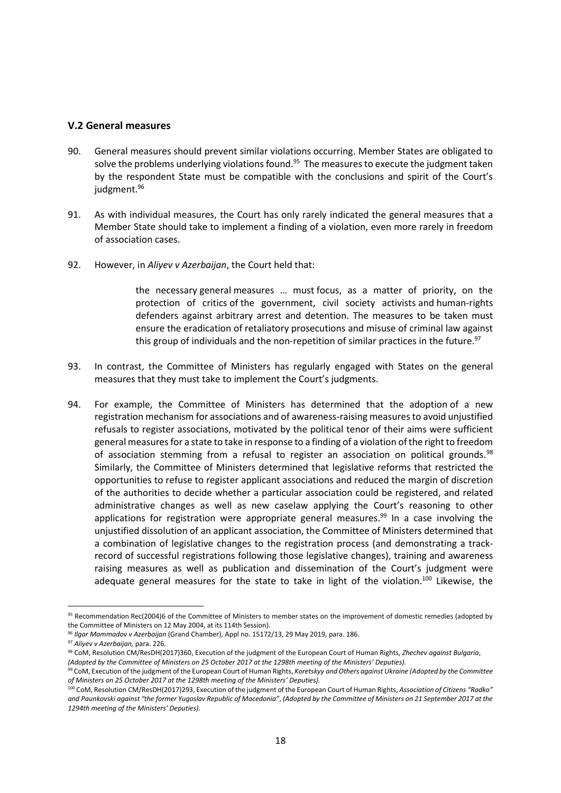#### <span id="page-18-0"></span>**V.2 General measures**

- 90. General measures should prevent similar violations occurring. Member States are obligated to solve the problems underlying violations found.<sup>95</sup> The measures to execute the judgment taken by the respondent State must be compatible with the conclusions and spirit of the Court's judgment. 96
- 91. As with individual measures, the Court has only rarely indicated the general measures that a Member State should take to implement a finding of a violation, even more rarely in freedom of association cases.
- 92. However, in *Aliyev v Azerbaijan*, the Court held that:

the necessary general measures … must focus, as a matter of priority, on the protection of critics of the government, civil society activists and human-rights defenders against arbitrary arrest and detention. The measures to be taken must ensure the eradication of retaliatory prosecutions and misuse of criminal law against this group of individuals and the non-repetition of similar practices in the future. $97$ 

- 93. In contrast, the Committee of Ministers has regularly engaged with States on the general measures that they must take to implement the Court's judgments.
- 94. For example, the Committee of Ministers has determined that the adoption of a new registration mechanism for associations and of awareness-raising measures to avoid unjustified refusals to register associations, motivated by the political tenor of their aims were sufficient general measures for a state to take in response to a finding of a violation of the right to freedom of association stemming from a refusal to register an association on political grounds.<sup>98</sup> Similarly, the Committee of Ministers determined that legislative reforms that restricted the opportunities to refuse to register applicant associations and reduced the margin of discretion of the authorities to decide whether a particular association could be registered, and related administrative changes as well as new caselaw applying the Court's reasoning to other applications for registration were appropriate general measures.<sup>99</sup> In a case involving the unjustified dissolution of an applicant association, the Committee of Ministers determined that a combination of legislative changes to the registration process (and demonstrating a trackrecord of successful registrations following those legislative changes), training and awareness raising measures as well as publication and dissemination of the Court's judgment were adequate general measures for the state to take in light of the violation.<sup>100</sup> Likewise, the

<sup>95</sup> Recommendation Rec(2004)6 of the Committee of Ministers to member states on the improvement of domestic remedies (adopted by the Committee of Ministers on 12 May 2004, at its 114th Session).

<sup>96</sup> *Ilgar Mammadov v Azerbaijan* (Grand Chamber), Appl no. 15172/13, 29 May 2019, para. 186.

<sup>97</sup> *Aliyev v Azerbaijan,* para. 226.

<sup>98</sup> CoM, Resolution CM/ResDH(2017)360, Execution of the judgment of the European Court of Human Rights, *Zhechev against Bulgaria*,

*<sup>(</sup>Adopted by the Committee of Ministers on 25 October 2017 at the 1298th meeting of the Ministers' Deputies).*

<sup>99</sup> CoM, Execution of the judgment of the European Court of Human Rights, *Koretskyy and Others against Ukraine (Adopted by the Committee of Ministers on 25 October 2017 at the 1298th meeting of the Ministers' Deputies).*

<sup>100</sup> CoM, Resolution CM/ResDH(2017)293, Execution of the judgment of the European Court of Human Rights, *Association of Citizens "Radko" and Paunkovski against "the former Yugoslav Republic of Macedonia"*, *(Adopted by the Committee of Ministers on 21 September 2017 at the 1294th meeting of the Ministers' Deputies).*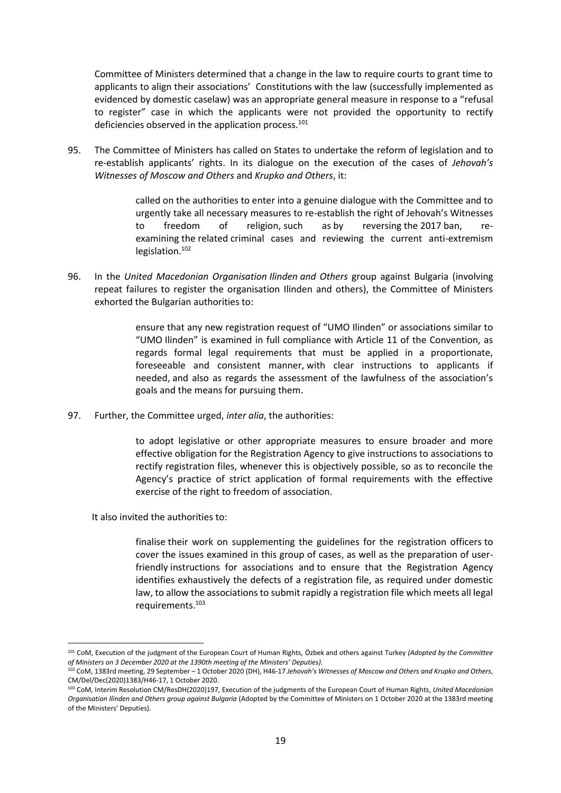Committee of Ministers determined that a change in the law to require courts to grant time to applicants to align their associations' Constitutions with the law (successfully implemented as evidenced by domestic caselaw) was an appropriate general measure in response to a "refusal to register" case in which the applicants were not provided the opportunity to rectify deficiencies observed in the application process.<sup>101</sup>

95. The Committee of Ministers has called on States to undertake the reform of legislation and to re-establish applicants' rights. In its dialogue on the execution of the cases of *Jehovah's Witnesses of Moscow and Others* and *Krupko and Others*, it:

> called on the authorities to enter into a genuine dialogue with the Committee and to urgently take all necessary measures to re-establish the right of Jehovah's Witnesses to freedom of religion, such as by reversing the 2017 ban, reexamining the related criminal cases and reviewing the current anti-extremism legislation.<sup>102</sup>

96. In the *United Macedonian Organisation Ilinden and Others* group against Bulgaria (involving repeat failures to register the organisation Ilinden and others), the Committee of Ministers exhorted the Bulgarian authorities to:

> ensure that any new registration request of "UMO Ilinden" or associations similar to "UMO Ilinden" is examined in full compliance with Article 11 of the Convention, as regards formal legal requirements that must be applied in a proportionate, foreseeable and consistent manner, with clear instructions to applicants if needed, and also as regards the assessment of the lawfulness of the association's goals and the means for pursuing them.

97. Further, the Committee urged, *inter alia*, the authorities:

to adopt legislative or other appropriate measures to ensure broader and more effective obligation for the Registration Agency to give instructions to associations to rectify registration files, whenever this is objectively possible, so as to reconcile the Agency's practice of strict application of formal requirements with the effective exercise of the right to freedom of association.

It also invited the authorities to:

**.** 

finalise their work on supplementing the guidelines for the registration officers to cover the issues examined in this group of cases, as well as the preparation of userfriendly instructions for associations and to ensure that the Registration Agency identifies exhaustively the defects of a registration file, as required under domestic law, to allow the associations to submit rapidly a registration file which meets all legal requirements. 103

<sup>101</sup> CoM, Execution of the judgment of the European Court of Human Rights, Özbek and others against Turkey *(Adopted by the Committee of Ministers on 3 December 2020 at the 1390th meeting of the Ministers' Deputies).*

<sup>102</sup> CoM, 1383rd meeting, 29 September – 1 October 2020 (DH), H46-17 *Jehovah's Witnesses of Moscow and Others and Krupko and Others*, CM/Del/Dec(2020)1383/H46-17, 1 October 2020.

<sup>103</sup> CoM, Interim Resolution CM/ResDH(2020)197, Execution of the judgments of the European Court of Human Rights, *United Macedonian Organisation Ilinden and Others group against Bulgaria* (Adopted by the Committee of Ministers on 1 October 2020 at the 1383rd meeting of the Ministers' Deputies).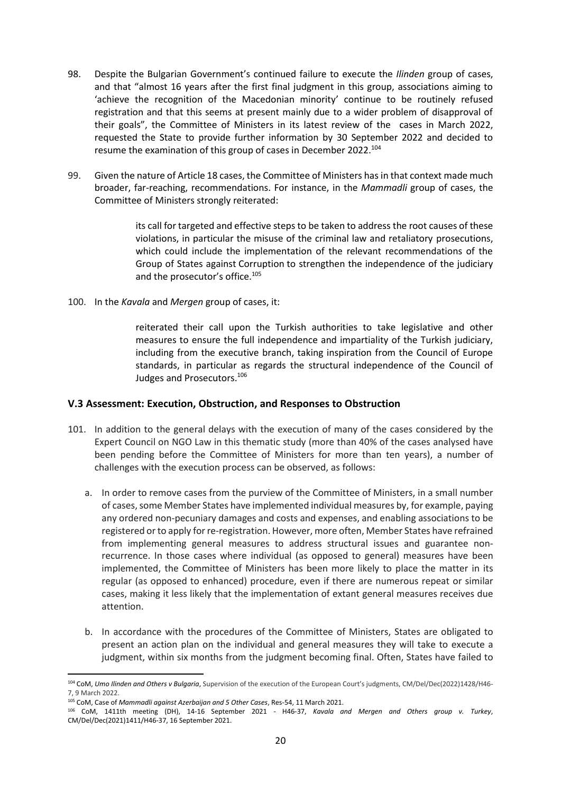- 98. Despite the Bulgarian Government's continued failure to execute the *Ilinden* group of cases, and that "almost 16 years after the first final judgment in this group, associations aiming to 'achieve the recognition of the Macedonian minority' continue to be routinely refused registration and that this seems at present mainly due to a wider problem of disapproval of their goals", the Committee of Ministers in its latest review of the cases in March 2022, requested the State to provide further information by 30 September 2022 and decided to resume the examination of this group of cases in December 2022.<sup>104</sup>
- 99. Given the nature of Article 18 cases, the Committee of Ministers has in that context made much broader, far-reaching, recommendations. For instance, in the *Mammadli* group of cases, the Committee of Ministers strongly reiterated:

its call for targeted and effective steps to be taken to address the root causes of these violations, in particular the misuse of the criminal law and retaliatory prosecutions, which could include the implementation of the relevant recommendations of the Group of States against Corruption to strengthen the independence of the judiciary and the prosecutor's office.<sup>105</sup>

100. In the *Kavala* and *Mergen* group of cases, it:

reiterated their call upon the Turkish authorities to take legislative and other measures to ensure the full independence and impartiality of the Turkish judiciary, including from the executive branch, taking inspiration from the Council of Europe standards, in particular as regards the structural independence of the Council of Judges and Prosecutors.<sup>106</sup>

## <span id="page-20-0"></span>**V.3 Assessment: Execution, Obstruction, and Responses to Obstruction**

- 101. In addition to the general delays with the execution of many of the cases considered by the Expert Council on NGO Law in this thematic study (more than 40% of the cases analysed have been pending before the Committee of Ministers for more than ten years), a number of challenges with the execution process can be observed, as follows:
	- a. In order to remove cases from the purview of the Committee of Ministers, in a small number of cases, some Member States have implemented individual measures by, for example, paying any ordered non-pecuniary damages and costs and expenses, and enabling associations to be registered or to apply for re-registration. However, more often, Member States have refrained from implementing general measures to address structural issues and guarantee nonrecurrence. In those cases where individual (as opposed to general) measures have been implemented, the Committee of Ministers has been more likely to place the matter in its regular (as opposed to enhanced) procedure, even if there are numerous repeat or similar cases, making it less likely that the implementation of extant general measures receives due attention.
	- b. In accordance with the procedures of the Committee of Ministers, States are obligated to present an action plan on the individual and general measures they will take to execute a judgment, within six months from the judgment becoming final. Often, States have failed to

<sup>104</sup> CoM, *Umo Ilinden and Others v Bulgaria*, Supervision of the execution of the European Court's judgments, CM/Del/Dec(2022)1428/H46- 7, 9 March 2022.

<sup>105</sup> CoM, Case of *Mammadli against Azerbaijan and 5 Other Cases*, Res-54, 11 March 2021.

<sup>106</sup> CoM, 1411th meeting (DH), 14-16 September 2021 - H46-37, *Kavala and Mergen and Others group v. Turkey*, CM/Del/Dec(2021)1411/H46-37, 16 September 2021.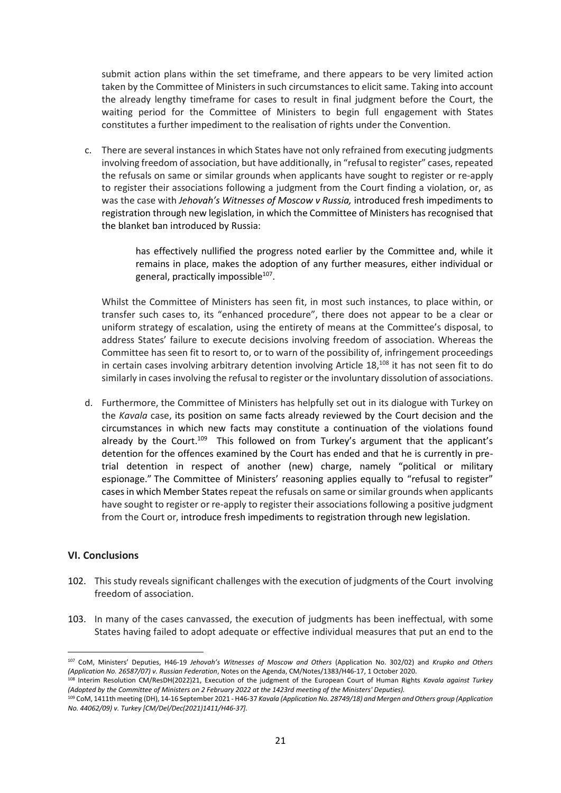submit action plans within the set timeframe, and there appears to be very limited action taken by the Committee of Ministers in such circumstances to elicit same. Taking into account the already lengthy timeframe for cases to result in final judgment before the Court, the waiting period for the Committee of Ministers to begin full engagement with States constitutes a further impediment to the realisation of rights under the Convention.

c. There are several instances in which States have not only refrained from executing judgments involving freedom of association, but have additionally, in "refusal to register" cases, repeated the refusals on same or similar grounds when applicants have sought to register or re-apply to register their associations following a judgment from the Court finding a violation, or, as was the case with *Jehovah's Witnesses of Moscow v Russia,* introduced fresh impediments to registration through new legislation, in which the Committee of Ministers has recognised that the blanket ban introduced by Russia:

> has effectively nullified the progress noted earlier by the Committee and, while it remains in place, makes the adoption of any further measures, either individual or general, practically impossible<sup>107</sup>.

Whilst the Committee of Ministers has seen fit, in most such instances, to place within, or transfer such cases to, its "enhanced procedure", there does not appear to be a clear or uniform strategy of escalation, using the entirety of means at the Committee's disposal, to address States' failure to execute decisions involving freedom of association. Whereas the Committee has seen fit to resort to, or to warn of the possibility of, infringement proceedings in certain cases involving arbitrary detention involving Article 18,<sup>108</sup> it has not seen fit to do similarly in cases involving the refusal to register or the involuntary dissolution of associations.

d. Furthermore, the Committee of Ministers has helpfully set out in its dialogue with Turkey on the *Kavala* case, its position on same facts already reviewed by the Court decision and the circumstances in which new facts may constitute a continuation of the violations found already by the Court.<sup>109</sup> This followed on from Turkey's argument that the applicant's detention for the offences examined by the Court has ended and that he is currently in pretrial detention in respect of another (new) charge, namely "political or military espionage." The Committee of Ministers' reasoning applies equally to "refusal to register" cases in which Member States repeat the refusals on same orsimilar grounds when applicants have sought to register or re-apply to register their associations following a positive judgment from the Court or, introduce fresh impediments to registration through new legislation.

#### <span id="page-21-0"></span>**VI. Conclusions**

- 102. This study reveals significant challenges with the execution of judgments of the Court involving freedom of association.
- 103. In many of the cases canvassed, the execution of judgments has been ineffectual, with some States having failed to adopt adequate or effective individual measures that put an end to the

<sup>1</sup> <sup>107</sup> CoM, Ministers' Deputies, H46-19 *Jehovah's Witnesses of Moscow and Others* (Application No. 302/02) and *Krupko and Others (Application No. 26587/07) v. Russian Federation*, Notes on the Agenda, CM/Notes/1383/H46-17, 1 October 2020.

<sup>108</sup> Interim Resolution CM/ResDH(2022)21, Execution of the judgment of the European Court of Human Rights *Kavala against Turkey (Adopted by the Committee of Ministers on 2 February 2022 at the 1423rd meeting of the Ministers' Deputies).*

<sup>109</sup> CoM, 1411th meeting (DH), 14-16 September 2021 - H46-37 *Kavala (Application No. 28749/18) and Mergen and Others group (Application No. 44062/09) v. Turkey [CM/Del/Dec(2021)1411/H46-37].*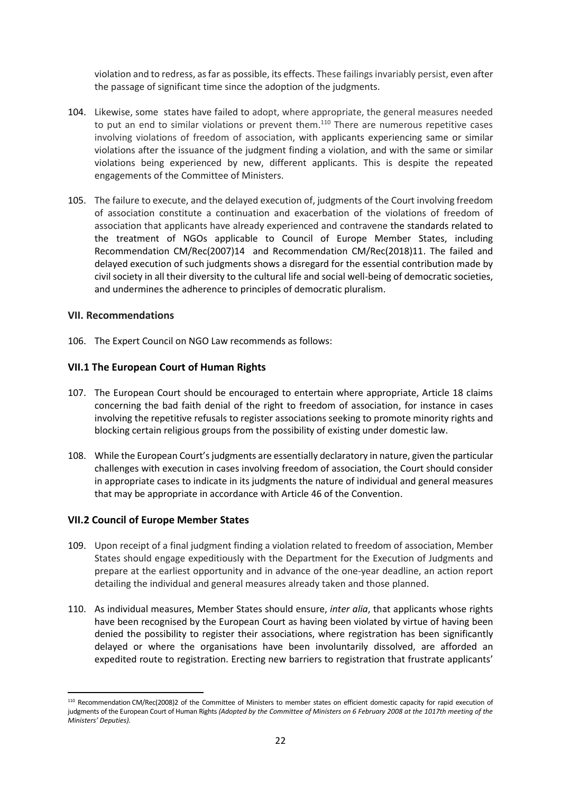violation and to redress, asfar as possible, its effects. These failings invariably persist, even after the passage of significant time since the adoption of the judgments.

- 104. Likewise, some states have failed to adopt, where appropriate, the general measures needed to put an end to similar violations or prevent them. $110$  There are numerous repetitive cases involving violations of freedom of association, with applicants experiencing same or similar violations after the issuance of the judgment finding a violation, and with the same or similar violations being experienced by new, different applicants. This is despite the repeated engagements of the Committee of Ministers.
- 105. The failure to execute, and the delayed execution of, judgments of the Court involving freedom of association constitute a continuation and exacerbation of the violations of freedom of association that applicants have already experienced and contravene the standards related to the treatment of NGOs applicable to Council of Europe Member States, including Recommendation CM/Rec(2007)14 and Recommendation CM/Rec(2018)11. The failed and delayed execution of such judgments shows a disregard for the essential contribution made by civil society in all their diversity to the cultural life and social well-being of democratic societies, and undermines the adherence to principles of democratic pluralism.

#### <span id="page-22-0"></span>**VII. Recommendations**

106. The Expert Council on NGO Law recommends as follows:

## <span id="page-22-1"></span>**VII.1 The European Court of Human Rights**

- 107. The European Court should be encouraged to entertain where appropriate, Article 18 claims concerning the bad faith denial of the right to freedom of association, for instance in cases involving the repetitive refusals to register associations seeking to promote minority rights and blocking certain religious groups from the possibility of existing under domestic law.
- 108. While the European Court's judgments are essentially declaratory in nature, given the particular challenges with execution in cases involving freedom of association, the Court should consider in appropriate cases to indicate in its judgments the nature of individual and general measures that may be appropriate in accordance with Article 46 of the Convention.

## <span id="page-22-2"></span>**VII.2 Council of Europe Member States**

- 109. Upon receipt of a final judgment finding a violation related to freedom of association, Member States should engage expeditiously with the Department for the Execution of Judgments and prepare at the earliest opportunity and in advance of the one-year deadline, an action report detailing the individual and general measures already taken and those planned.
- 110. As individual measures, Member States should ensure, *inter alia*, that applicants whose rights have been recognised by the European Court as having been violated by virtue of having been denied the possibility to register their associations, where registration has been significantly delayed or where the organisations have been involuntarily dissolved, are afforded an expedited route to registration. Erecting new barriers to registration that frustrate applicants'

<sup>1</sup> <sup>110</sup> Recommendation CM/Rec(2008)2 of the Committee of Ministers to member states on efficient domestic capacity for rapid execution of judgments of the European Court of Human Rights *(Adopted by the Committee of Ministers on 6 February 2008 at the 1017th meeting of the Ministers' Deputies).*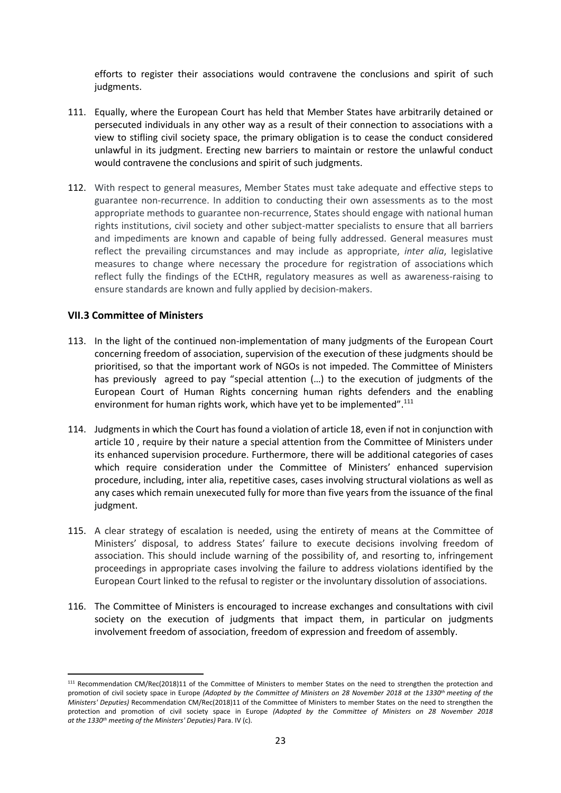efforts to register their associations would contravene the conclusions and spirit of such judgments.

- 111. Equally, where the European Court has held that Member States have arbitrarily detained or persecuted individuals in any other way as a result of their connection to associations with a view to stifling civil society space, the primary obligation is to cease the conduct considered unlawful in its judgment. Erecting new barriers to maintain or restore the unlawful conduct would contravene the conclusions and spirit of such judgments.
- 112. With respect to general measures, Member States must take adequate and effective steps to guarantee non-recurrence. In addition to conducting their own assessments as to the most appropriate methods to guarantee non-recurrence, States should engage with national human rights institutions, civil society and other subject-matter specialists to ensure that all barriers and impediments are known and capable of being fully addressed. General measures must reflect the prevailing circumstances and may include as appropriate, *inter alia*, legislative measures to change where necessary the procedure for registration of associations which reflect fully the findings of the ECtHR, regulatory measures as well as awareness-raising to ensure standards are known and fully applied by decision-makers.

#### <span id="page-23-0"></span>**VII.3 Committee of Ministers**

- 113. In the light of the continued non-implementation of many judgments of the European Court concerning freedom of association, supervision of the execution of these judgments should be prioritised, so that the important work of NGOs is not impeded. The Committee of Ministers has previously agreed to pay "special attention (…) to the execution of judgments of the European Court of Human Rights concerning human rights defenders and the enabling environment for human rights work, which have yet to be implemented".<sup>111</sup>
- 114. Judgments in which the Court has found a violation of article 18, even if not in conjunction with article 10 , require by their nature a special attention from the Committee of Ministers under its enhanced supervision procedure. Furthermore, there will be additional categories of cases which require consideration under the Committee of Ministers' enhanced supervision procedure, including, inter alia, repetitive cases, cases involving structural violations as well as any cases which remain unexecuted fully for more than five years from the issuance of the final judgment.
- 115. A clear strategy of escalation is needed, using the entirety of means at the Committee of Ministers' disposal, to address States' failure to execute decisions involving freedom of association. This should include warning of the possibility of, and resorting to, infringement proceedings in appropriate cases involving the failure to address violations identified by the European Court linked to the refusal to register or the involuntary dissolution of associations.
- 116. The Committee of Ministers is encouraged to increase exchanges and consultations with civil society on the execution of judgments that impact them, in particular on judgments involvement freedom of association, freedom of expression and freedom of assembly.

<sup>111</sup> Recommendation CM/Rec(2018)11 of the Committee of Ministers to member States on the need to strengthen the protection and promotion of civil society space in Europe *(Adopted by the Committee of Ministers on 28 November 2018 at the 1330th meeting of the Ministers' Deputies)* Recommendation CM/Rec(2018)11 of the Committee of Ministers to member States on the need to strengthen the protection and promotion of civil society space in Europe *(Adopted by the Committee of Ministers on 28 November 2018 at the 1330th meeting of the Ministers' Deputies)* Para. IV (c).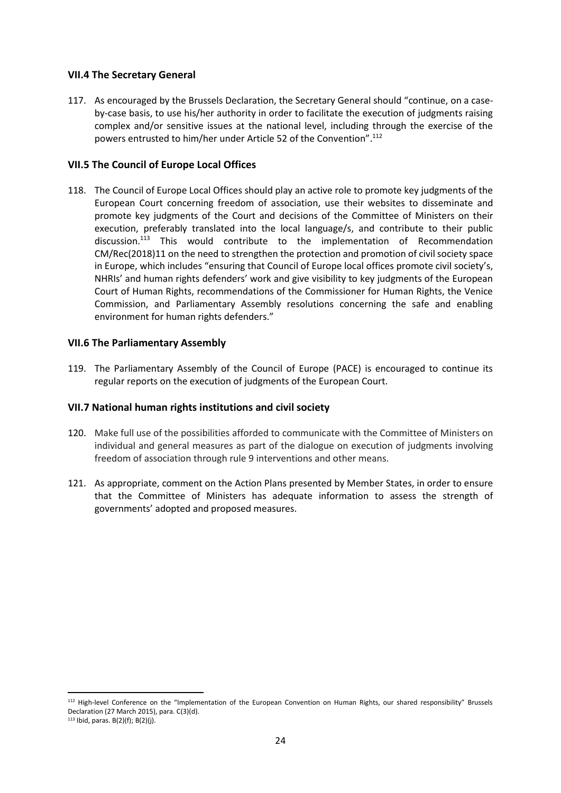## <span id="page-24-0"></span>**VII.4 The Secretary General**

117. As encouraged by the Brussels Declaration, the Secretary General should "continue, on a caseby-case basis, to use his/her authority in order to facilitate the execution of judgments raising complex and/or sensitive issues at the national level, including through the exercise of the powers entrusted to him/her under Article 52 of the Convention". 112

#### <span id="page-24-1"></span>**VII.5 The Council of Europe Local Offices**

118. The Council of Europe Local Offices should play an active role to promote key judgments of the European Court concerning freedom of association, use their websites to disseminate and promote key judgments of the Court and decisions of the Committee of Ministers on their execution, preferably translated into the local language/s, and contribute to their public discussion.<sup>113</sup> This would contribute to the implementation of Recommendation CM/Rec(2018)11 on the need to strengthen the protection and promotion of civil society space in Europe, which includes "ensuring that Council of Europe local offices promote civil society's, NHRIs' and human rights defenders' work and give visibility to key judgments of the European Court of Human Rights, recommendations of the Commissioner for Human Rights, the Venice Commission, and Parliamentary Assembly resolutions concerning the safe and enabling environment for human rights defenders."

#### <span id="page-24-2"></span>**VII.6 The Parliamentary Assembly**

119. The Parliamentary Assembly of the Council of Europe (PACE) is encouraged to continue its regular reports on the execution of judgments of the European Court.

#### <span id="page-24-3"></span>**VII.7 National human rights institutions and civil society**

- 120. Make full use of the possibilities afforded to communicate with the Committee of Ministers on individual and general measures as part of the dialogue on execution of judgments involving freedom of association through rule 9 interventions and other means.
- 121. As appropriate, comment on the Action Plans presented by Member States, in order to ensure that the Committee of Ministers has adequate information to assess the strength of governments' adopted and proposed measures.

 $113$  Ibid, paras. B(2)(f); B(2)(j).

<sup>112</sup> High-level Conference on the "Implementation of the European Convention on Human Rights, our shared responsibility" Brussels Declaration (27 March 2015), para. C(3)(d).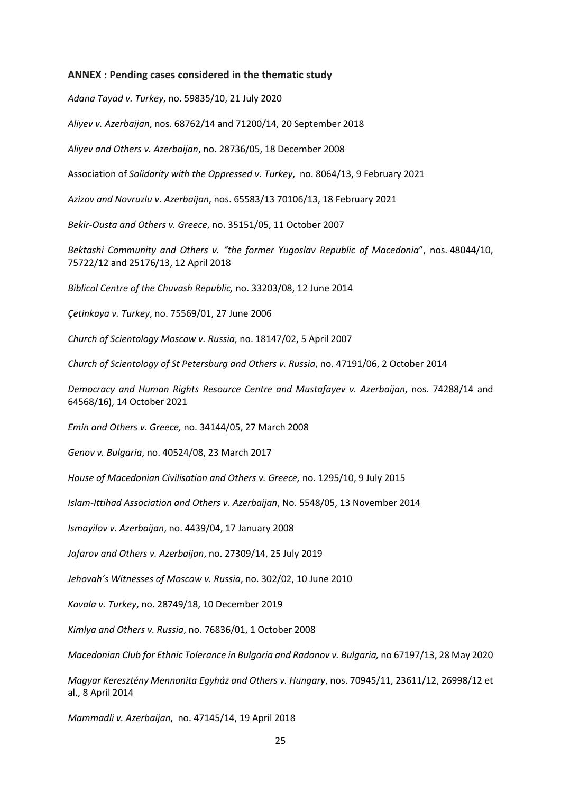#### <span id="page-25-0"></span>**ANNEX : Pending cases considered in the thematic study**

*Adana Tayad v. Turkey*, no. 59835/10, 21 July 2020

*Aliyev v. Azerbaijan*, nos. 68762/14 and 71200/14, 20 September 2018

*Aliyev and Others v. Azerbaijan*, no. 28736/05, 18 December 2008

Association of *Solidarity with the Oppressed v. Turkey*, no. 8064/13, 9 February 2021

*Azizov and Novruzlu v. Azerbaijan*, nos. 65583/13 70106/13, 18 February 2021

*Bekir-Ousta and Others v. Greece*, no. 35151/05, 11 October 2007

*Bektashi Community and Others v. "the former Yugoslav Republic of Macedonia*", nos. 48044/10, 75722/12 and 25176/13, 12 April 2018

*Biblical Centre of the Chuvash Republic,* no. 33203/08, 12 June 2014

*Çetinkaya v. Turkey*, no. 75569/01, 27 June 2006

*Church of Scientology Moscow v. Russia*, no. 18147/02, 5 April 2007

*Church of Scientology of St Petersburg and Others v. Russia*, no. 47191/06, 2 October 2014

*Democracy and Human Rights Resource Centre and Mustafayev v. Azerbaijan*, nos. 74288/14 and 64568/16), 14 October 2021

*Emin and Others v. Greece,* no. 34144/05, 27 March 2008

*Genov v. Bulgaria*, no. 40524/08, 23 March 2017

*House of Macedonian Civilisation and Others v. Greece,* no. 1295/10, 9 July 2015

*Islam-Ittihad Association and Others v. Azerbaijan*, No. 5548/05, 13 November 2014

*Ismayilov v. Azerbaijan*, no. 4439/04, 17 January 2008

*Jafarov and Others v. Azerbaijan*, no. 27309/14, 25 July 2019

*Jehovah's Witnesses of Moscow v. Russia*, no. 302/02, 10 June 2010

*Kavala v. Turkey*, no. 28749/18, 10 December 2019

*Kimlya and Others v. Russia*, no. 76836/01, 1 October 2008

*Macedonian Club for Ethnic Tolerance in Bulgaria and Radonov v. Bulgaria,* no 67197/13, 28 May 2020

*Magyar Keresztény Mennonita Egyház and Others v. Hungary*, nos. 70945/11, 23611/12, 26998/12 et al., 8 April 2014

*Mammadli v. Azerbaijan*, no. 47145/14, 19 April 2018